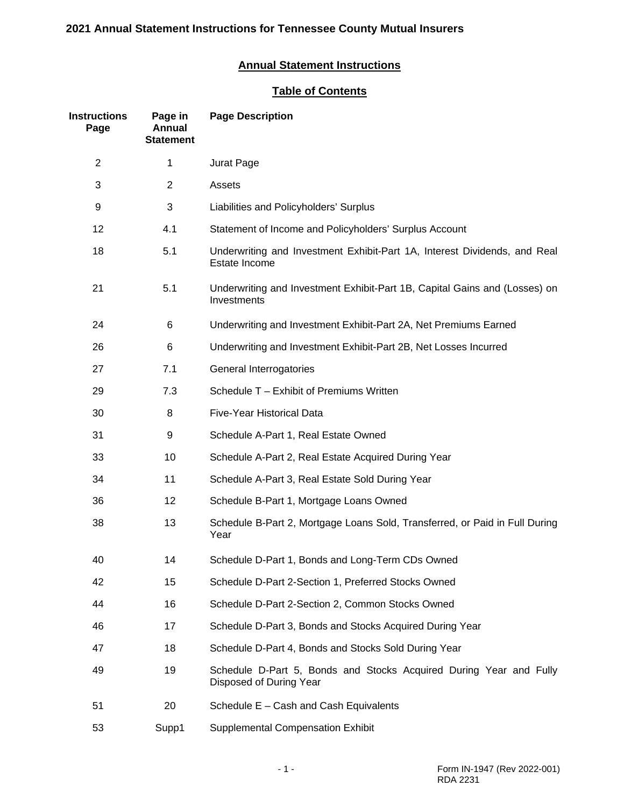# **Annual Statement Instructions**

# **Table of Contents**

| <b>Instructions</b><br>Page | Page in<br>Annual<br><b>Statement</b> | <b>Page Description</b>                                                                       |
|-----------------------------|---------------------------------------|-----------------------------------------------------------------------------------------------|
| $\overline{2}$              | 1                                     | Jurat Page                                                                                    |
| 3                           | $\overline{c}$                        | Assets                                                                                        |
| 9                           | 3                                     | Liabilities and Policyholders' Surplus                                                        |
| 12                          | 4.1                                   | Statement of Income and Policyholders' Surplus Account                                        |
| 18                          | 5.1                                   | Underwriting and Investment Exhibit-Part 1A, Interest Dividends, and Real<br>Estate Income    |
| 21                          | 5.1                                   | Underwriting and Investment Exhibit-Part 1B, Capital Gains and (Losses) on<br>Investments     |
| 24                          | 6                                     | Underwriting and Investment Exhibit-Part 2A, Net Premiums Earned                              |
| 26                          | 6                                     | Underwriting and Investment Exhibit-Part 2B, Net Losses Incurred                              |
| 27                          | 7.1                                   | General Interrogatories                                                                       |
| 29                          | 7.3                                   | Schedule T - Exhibit of Premiums Written                                                      |
| 30                          | 8                                     | Five-Year Historical Data                                                                     |
| 31                          | 9                                     | Schedule A-Part 1, Real Estate Owned                                                          |
| 33                          | 10                                    | Schedule A-Part 2, Real Estate Acquired During Year                                           |
| 34                          | 11                                    | Schedule A-Part 3, Real Estate Sold During Year                                               |
| 36                          | 12                                    | Schedule B-Part 1, Mortgage Loans Owned                                                       |
| 38                          | 13                                    | Schedule B-Part 2, Mortgage Loans Sold, Transferred, or Paid in Full During<br>Year           |
| 40                          | 14                                    | Schedule D-Part 1, Bonds and Long-Term CDs Owned                                              |
| 42                          | 15                                    | Schedule D-Part 2-Section 1, Preferred Stocks Owned                                           |
| 44                          | 16                                    | Schedule D-Part 2-Section 2, Common Stocks Owned                                              |
| 46                          | 17                                    | Schedule D-Part 3, Bonds and Stocks Acquired During Year                                      |
| 47                          | 18                                    | Schedule D-Part 4, Bonds and Stocks Sold During Year                                          |
| 49                          | 19                                    | Schedule D-Part 5, Bonds and Stocks Acquired During Year and Fully<br>Disposed of During Year |
| 51                          | 20                                    | Schedule E - Cash and Cash Equivalents                                                        |
| 53                          | Supp1                                 | <b>Supplemental Compensation Exhibit</b>                                                      |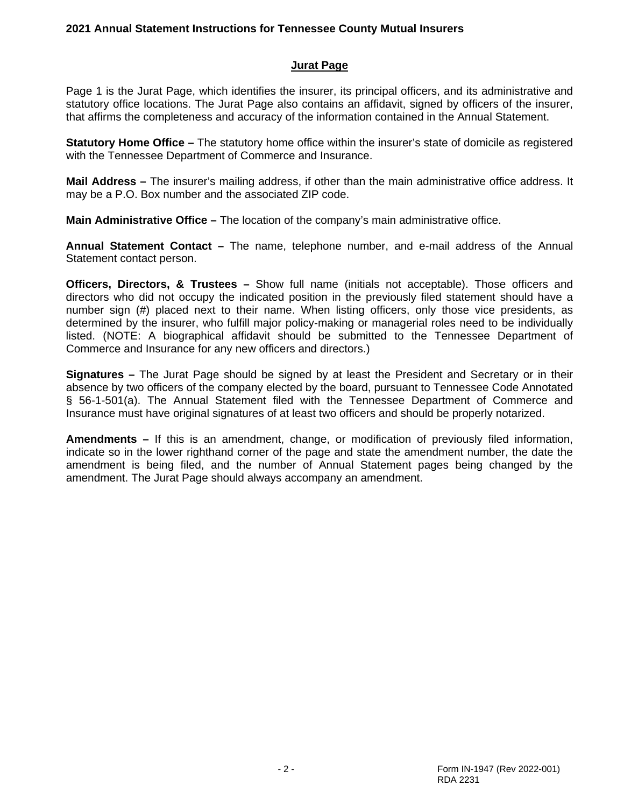#### **Jurat Page**

Page 1 is the Jurat Page, which identifies the insurer, its principal officers, and its administrative and statutory office locations. The Jurat Page also contains an affidavit, signed by officers of the insurer, that affirms the completeness and accuracy of the information contained in the Annual Statement.

**Statutory Home Office –** The statutory home office within the insurer's state of domicile as registered with the Tennessee Department of Commerce and Insurance.

**Mail Address –** The insurer's mailing address, if other than the main administrative office address. It may be a P.O. Box number and the associated ZIP code.

**Main Administrative Office –** The location of the company's main administrative office.

**Annual Statement Contact –** The name, telephone number, and e-mail address of the Annual Statement contact person.

**Officers, Directors, & Trustees –** Show full name (initials not acceptable). Those officers and directors who did not occupy the indicated position in the previously filed statement should have a number sign (#) placed next to their name. When listing officers, only those vice presidents, as determined by the insurer, who fulfill major policy-making or managerial roles need to be individually listed. (NOTE: A biographical affidavit should be submitted to the Tennessee Department of Commerce and Insurance for any new officers and directors.)

**Signatures –** The Jurat Page should be signed by at least the President and Secretary or in their absence by two officers of the company elected by the board, pursuant to Tennessee Code Annotated § 56-1-501(a). The Annual Statement filed with the Tennessee Department of Commerce and Insurance must have original signatures of at least two officers and should be properly notarized.

**Amendments –** If this is an amendment, change, or modification of previously filed information, indicate so in the lower righthand corner of the page and state the amendment number, the date the amendment is being filed, and the number of Annual Statement pages being changed by the amendment. The Jurat Page should always accompany an amendment.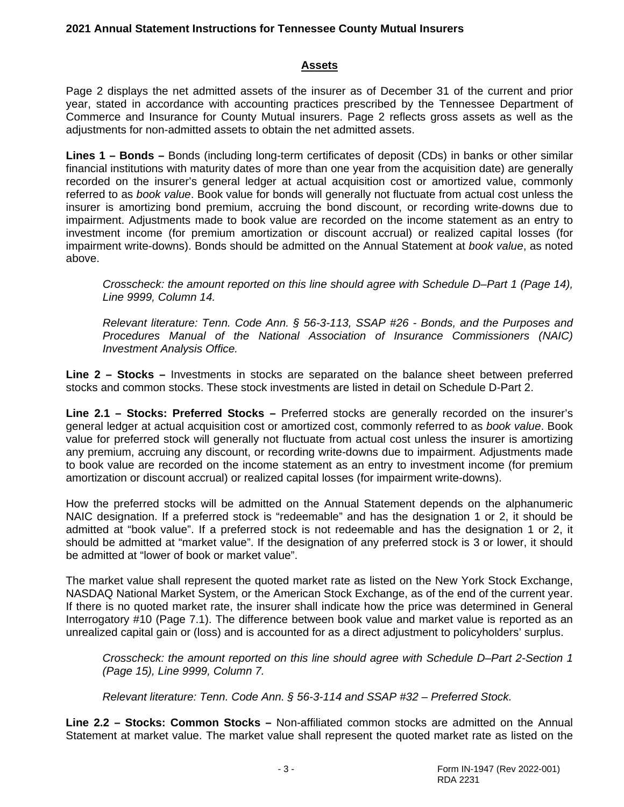#### **Assets**

Page 2 displays the net admitted assets of the insurer as of December 31 of the current and prior year, stated in accordance with accounting practices prescribed by the Tennessee Department of Commerce and Insurance for County Mutual insurers. Page 2 reflects gross assets as well as the adjustments for non-admitted assets to obtain the net admitted assets.

**Lines 1 – Bonds –** Bonds (including long-term certificates of deposit (CDs) in banks or other similar financial institutions with maturity dates of more than one year from the acquisition date) are generally recorded on the insurer's general ledger at actual acquisition cost or amortized value, commonly referred to as *book value*. Book value for bonds will generally not fluctuate from actual cost unless the insurer is amortizing bond premium, accruing the bond discount, or recording write-downs due to impairment. Adjustments made to book value are recorded on the income statement as an entry to investment income (for premium amortization or discount accrual) or realized capital losses (for impairment write-downs). Bonds should be admitted on the Annual Statement at *book value*, as noted above.

*Crosscheck: the amount reported on this line should agree with Schedule D–Part 1 (Page 14), Line 9999, Column 14.*

*Relevant literature: Tenn. Code Ann. § 56-3-113, SSAP #26 - Bonds, and the Purposes and Procedures Manual of the National Association of Insurance Commissioners (NAIC) Investment Analysis Office.*

**Line 2 – Stocks –** Investments in stocks are separated on the balance sheet between preferred stocks and common stocks. These stock investments are listed in detail on Schedule D-Part 2.

**Line 2.1 – Stocks: Preferred Stocks –** Preferred stocks are generally recorded on the insurer's general ledger at actual acquisition cost or amortized cost, commonly referred to as *book value*. Book value for preferred stock will generally not fluctuate from actual cost unless the insurer is amortizing any premium, accruing any discount, or recording write-downs due to impairment. Adjustments made to book value are recorded on the income statement as an entry to investment income (for premium amortization or discount accrual) or realized capital losses (for impairment write-downs).

How the preferred stocks will be admitted on the Annual Statement depends on the alphanumeric NAIC designation. If a preferred stock is "redeemable" and has the designation 1 or 2, it should be admitted at "book value". If a preferred stock is not redeemable and has the designation 1 or 2, it should be admitted at "market value". If the designation of any preferred stock is 3 or lower, it should be admitted at "lower of book or market value".

The market value shall represent the quoted market rate as listed on the New York Stock Exchange, NASDAQ National Market System, or the American Stock Exchange, as of the end of the current year. If there is no quoted market rate, the insurer shall indicate how the price was determined in General Interrogatory #10 (Page 7.1). The difference between book value and market value is reported as an unrealized capital gain or (loss) and is accounted for as a direct adjustment to policyholders' surplus.

*Crosscheck: the amount reported on this line should agree with Schedule D–Part 2-Section 1 (Page 15), Line 9999, Column 7.*

*Relevant literature: Tenn. Code Ann. § 56-3-114 and SSAP #32 – Preferred Stock.*

**Line 2.2 – Stocks: Common Stocks –** Non-affiliated common stocks are admitted on the Annual Statement at market value. The market value shall represent the quoted market rate as listed on the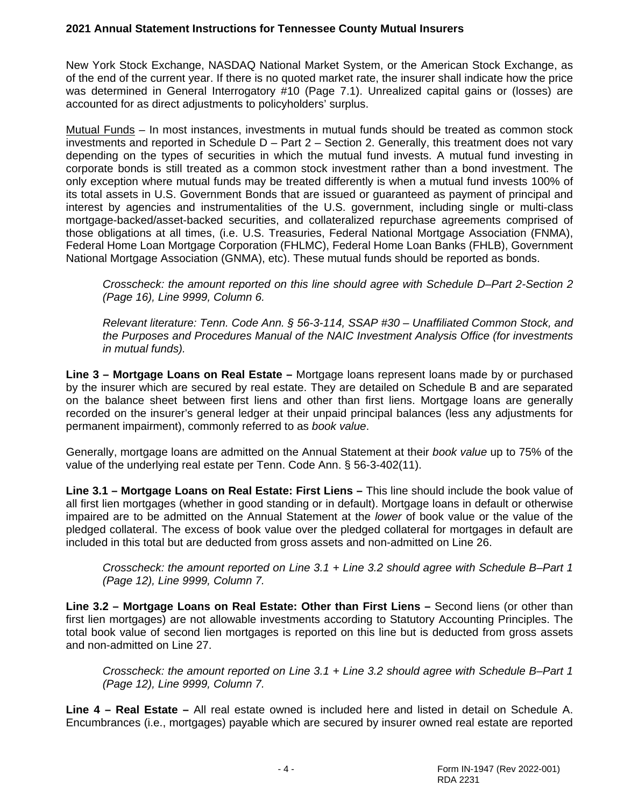New York Stock Exchange, NASDAQ National Market System, or the American Stock Exchange, as of the end of the current year. If there is no quoted market rate, the insurer shall indicate how the price was determined in General Interrogatory #10 (Page 7.1). Unrealized capital gains or (losses) are accounted for as direct adjustments to policyholders' surplus.

Mutual Funds – In most instances, investments in mutual funds should be treated as common stock investments and reported in Schedule  $D - Part 2 - Section 2$ . Generally, this treatment does not vary depending on the types of securities in which the mutual fund invests. A mutual fund investing in corporate bonds is still treated as a common stock investment rather than a bond investment. The only exception where mutual funds may be treated differently is when a mutual fund invests 100% of its total assets in U.S. Government Bonds that are issued or guaranteed as payment of principal and interest by agencies and instrumentalities of the U.S. government, including single or multi-class mortgage-backed/asset-backed securities, and collateralized repurchase agreements comprised of those obligations at all times, (i.e. U.S. Treasuries, Federal National Mortgage Association (FNMA), Federal Home Loan Mortgage Corporation (FHLMC), Federal Home Loan Banks (FHLB), Government National Mortgage Association (GNMA), etc). These mutual funds should be reported as bonds.

*Crosscheck: the amount reported on this line should agree with Schedule D–Part 2-Section 2 (Page 16), Line 9999, Column 6.*

*Relevant literature: Tenn. Code Ann. § 56-3-114, SSAP #30 – Unaffiliated Common Stock, and the Purposes and Procedures Manual of the NAIC Investment Analysis Office (for investments in mutual funds).*

**Line 3 – Mortgage Loans on Real Estate –** Mortgage loans represent loans made by or purchased by the insurer which are secured by real estate. They are detailed on Schedule B and are separated on the balance sheet between first liens and other than first liens. Mortgage loans are generally recorded on the insurer's general ledger at their unpaid principal balances (less any adjustments for permanent impairment), commonly referred to as *book value*.

Generally, mortgage loans are admitted on the Annual Statement at their *book value* up to 75% of the value of the underlying real estate per Tenn. Code Ann. § 56-3-402(11).

**Line 3.1 – Mortgage Loans on Real Estate: First Liens –** This line should include the book value of all first lien mortgages (whether in good standing or in default). Mortgage loans in default or otherwise impaired are to be admitted on the Annual Statement at the *lower* of book value or the value of the pledged collateral. The excess of book value over the pledged collateral for mortgages in default are included in this total but are deducted from gross assets and non-admitted on Line 26.

*Crosscheck: the amount reported on Line 3.1 + Line 3.2 should agree with Schedule B–Part 1 (Page 12), Line 9999, Column 7.*

**Line 3.2 – Mortgage Loans on Real Estate: Other than First Liens –** Second liens (or other than first lien mortgages) are not allowable investments according to Statutory Accounting Principles. The total book value of second lien mortgages is reported on this line but is deducted from gross assets and non-admitted on Line 27.

*Crosscheck: the amount reported on Line 3.1 + Line 3.2 should agree with Schedule B–Part 1 (Page 12), Line 9999, Column 7.*

**Line 4 – Real Estate –** All real estate owned is included here and listed in detail on Schedule A. Encumbrances (i.e., mortgages) payable which are secured by insurer owned real estate are reported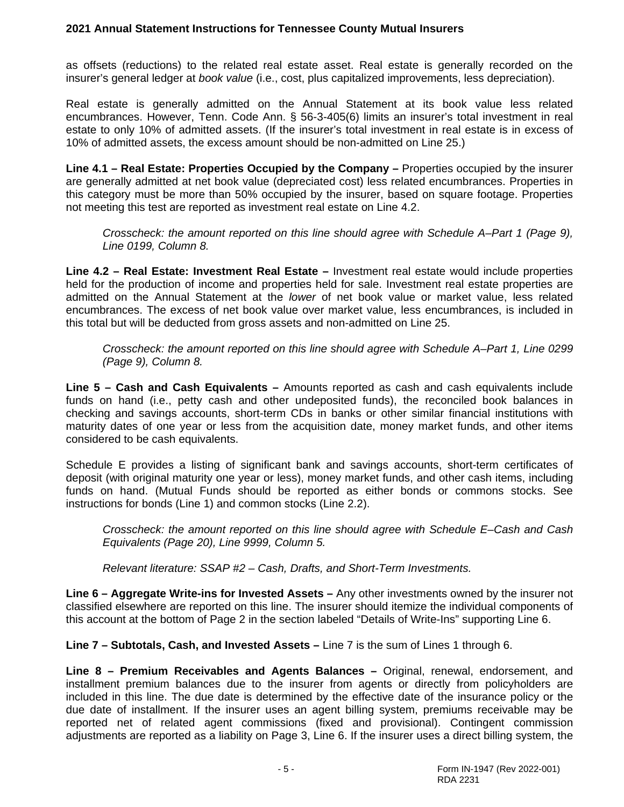as offsets (reductions) to the related real estate asset. Real estate is generally recorded on the insurer's general ledger at *book value* (i.e., cost, plus capitalized improvements, less depreciation).

Real estate is generally admitted on the Annual Statement at its book value less related encumbrances. However, Tenn. Code Ann. § 56-3-405(6) limits an insurer's total investment in real estate to only 10% of admitted assets. (If the insurer's total investment in real estate is in excess of 10% of admitted assets, the excess amount should be non-admitted on Line 25.)

**Line 4.1 – Real Estate: Properties Occupied by the Company –** Properties occupied by the insurer are generally admitted at net book value (depreciated cost) less related encumbrances. Properties in this category must be more than 50% occupied by the insurer, based on square footage. Properties not meeting this test are reported as investment real estate on Line 4.2.

*Crosscheck: the amount reported on this line should agree with Schedule A–Part 1 (Page 9), Line 0199, Column 8.*

**Line 4.2 – Real Estate: Investment Real Estate –** Investment real estate would include properties held for the production of income and properties held for sale. Investment real estate properties are admitted on the Annual Statement at the *lower* of net book value or market value, less related encumbrances. The excess of net book value over market value, less encumbrances, is included in this total but will be deducted from gross assets and non-admitted on Line 25.

*Crosscheck: the amount reported on this line should agree with Schedule A–Part 1, Line 0299 (Page 9), Column 8.*

**Line 5 – Cash and Cash Equivalents –** Amounts reported as cash and cash equivalents include funds on hand (i.e., petty cash and other undeposited funds), the reconciled book balances in checking and savings accounts, short-term CDs in banks or other similar financial institutions with maturity dates of one year or less from the acquisition date, money market funds, and other items considered to be cash equivalents.

Schedule E provides a listing of significant bank and savings accounts, short-term certificates of deposit (with original maturity one year or less), money market funds, and other cash items, including funds on hand. (Mutual Funds should be reported as either bonds or commons stocks. See instructions for bonds (Line 1) and common stocks (Line 2.2).

*Crosscheck: the amount reported on this line should agree with Schedule E–Cash and Cash Equivalents (Page 20), Line 9999, Column 5.*

*Relevant literature: SSAP #2 – Cash, Drafts, and Short-Term Investments.*

**Line 6 – Aggregate Write-ins for Invested Assets –** Any other investments owned by the insurer not classified elsewhere are reported on this line. The insurer should itemize the individual components of this account at the bottom of Page 2 in the section labeled "Details of Write-Ins" supporting Line 6.

**Line 7 – Subtotals, Cash, and Invested Assets –** Line 7 is the sum of Lines 1 through 6.

**Line 8 – Premium Receivables and Agents Balances –** Original, renewal, endorsement, and installment premium balances due to the insurer from agents or directly from policyholders are included in this line. The due date is determined by the effective date of the insurance policy or the due date of installment. If the insurer uses an agent billing system, premiums receivable may be reported net of related agent commissions (fixed and provisional). Contingent commission adjustments are reported as a liability on Page 3, Line 6. If the insurer uses a direct billing system, the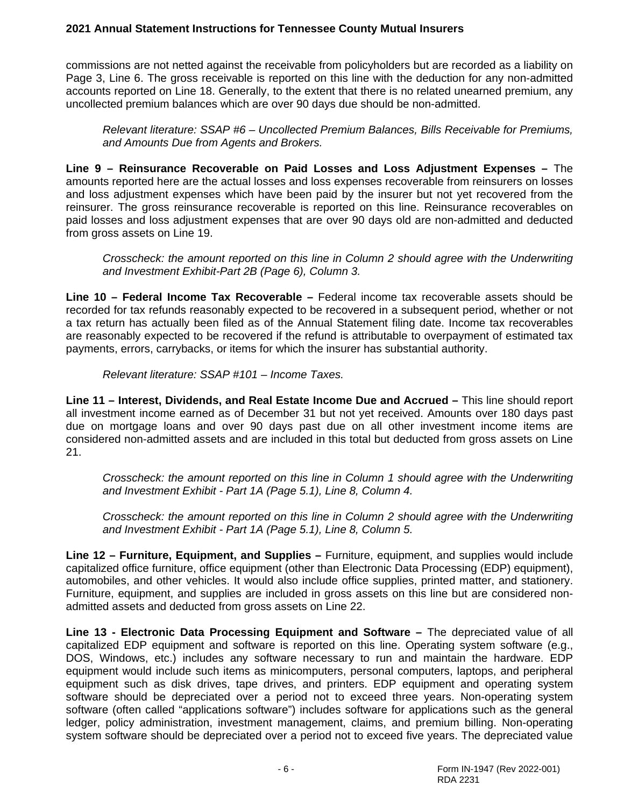commissions are not netted against the receivable from policyholders but are recorded as a liability on Page 3, Line 6. The gross receivable is reported on this line with the deduction for any non-admitted accounts reported on Line 18. Generally, to the extent that there is no related unearned premium, any uncollected premium balances which are over 90 days due should be non-admitted.

*Relevant literature: SSAP #6 – Uncollected Premium Balances, Bills Receivable for Premiums, and Amounts Due from Agents and Brokers.*

**Line 9 – Reinsurance Recoverable on Paid Losses and Loss Adjustment Expenses –** The amounts reported here are the actual losses and loss expenses recoverable from reinsurers on losses and loss adjustment expenses which have been paid by the insurer but not yet recovered from the reinsurer. The gross reinsurance recoverable is reported on this line. Reinsurance recoverables on paid losses and loss adjustment expenses that are over 90 days old are non-admitted and deducted from gross assets on Line 19.

*Crosscheck: the amount reported on this line in Column 2 should agree with the Underwriting and Investment Exhibit-Part 2B (Page 6), Column 3.*

**Line 10 – Federal Income Tax Recoverable –** Federal income tax recoverable assets should be recorded for tax refunds reasonably expected to be recovered in a subsequent period, whether or not a tax return has actually been filed as of the Annual Statement filing date. Income tax recoverables are reasonably expected to be recovered if the refund is attributable to overpayment of estimated tax payments, errors, carrybacks, or items for which the insurer has substantial authority.

*Relevant literature: SSAP #101 – Income Taxes.*

**Line 11 – Interest, Dividends, and Real Estate Income Due and Accrued –** This line should report all investment income earned as of December 31 but not yet received. Amounts over 180 days past due on mortgage loans and over 90 days past due on all other investment income items are considered non-admitted assets and are included in this total but deducted from gross assets on Line 21.

*Crosscheck: the amount reported on this line in Column 1 should agree with the Underwriting and Investment Exhibit - Part 1A (Page 5.1), Line 8, Column 4.* 

*Crosscheck: the amount reported on this line in Column 2 should agree with the Underwriting and Investment Exhibit - Part 1A (Page 5.1), Line 8, Column 5.*

**Line 12 – Furniture, Equipment, and Supplies –** Furniture, equipment, and supplies would include capitalized office furniture, office equipment (other than Electronic Data Processing (EDP) equipment), automobiles, and other vehicles. It would also include office supplies, printed matter, and stationery. Furniture, equipment, and supplies are included in gross assets on this line but are considered nonadmitted assets and deducted from gross assets on Line 22.

**Line 13 - Electronic Data Processing Equipment and Software –** The depreciated value of all capitalized EDP equipment and software is reported on this line. Operating system software (e.g., DOS, Windows, etc.) includes any software necessary to run and maintain the hardware. EDP equipment would include such items as minicomputers, personal computers, laptops, and peripheral equipment such as disk drives, tape drives, and printers. EDP equipment and operating system software should be depreciated over a period not to exceed three years. Non-operating system software (often called "applications software") includes software for applications such as the general ledger, policy administration, investment management, claims, and premium billing. Non-operating system software should be depreciated over a period not to exceed five years. The depreciated value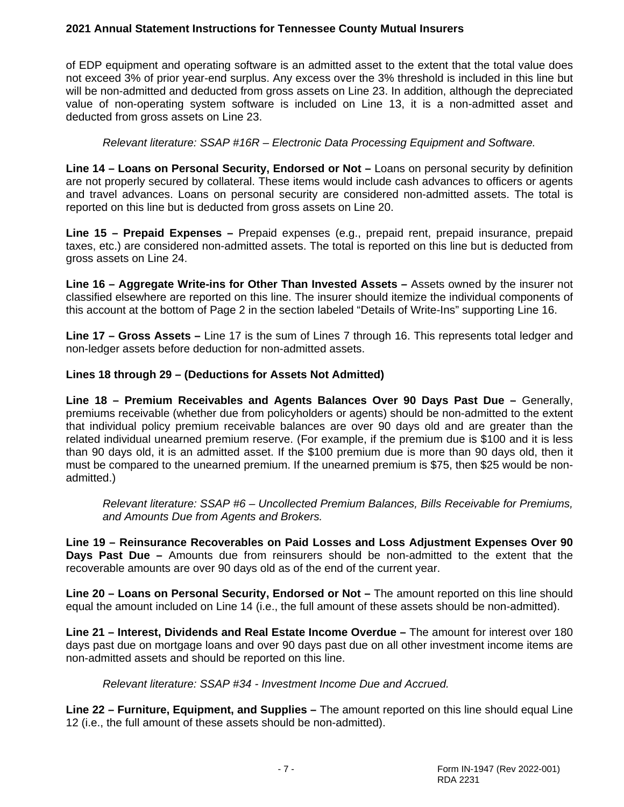of EDP equipment and operating software is an admitted asset to the extent that the total value does not exceed 3% of prior year-end surplus. Any excess over the 3% threshold is included in this line but will be non-admitted and deducted from gross assets on Line 23. In addition, although the depreciated value of non-operating system software is included on Line 13, it is a non-admitted asset and deducted from gross assets on Line 23.

*Relevant literature: SSAP #16R – Electronic Data Processing Equipment and Software.*

**Line 14 – Loans on Personal Security, Endorsed or Not –** Loans on personal security by definition are not properly secured by collateral. These items would include cash advances to officers or agents and travel advances. Loans on personal security are considered non-admitted assets. The total is reported on this line but is deducted from gross assets on Line 20.

**Line 15 – Prepaid Expenses –** Prepaid expenses (e.g., prepaid rent, prepaid insurance, prepaid taxes, etc.) are considered non-admitted assets. The total is reported on this line but is deducted from gross assets on Line 24.

**Line 16 – Aggregate Write-ins for Other Than Invested Assets** *–* Assets owned by the insurer not classified elsewhere are reported on this line. The insurer should itemize the individual components of this account at the bottom of Page 2 in the section labeled "Details of Write-Ins" supporting Line 16.

**Line 17 – Gross Assets –** Line 17 is the sum of Lines 7 through 16. This represents total ledger and non-ledger assets before deduction for non-admitted assets.

# **Lines 18 through 29 – (Deductions for Assets Not Admitted)**

**Line 18 – Premium Receivables and Agents Balances Over 90 Days Past Due –** Generally, premiums receivable (whether due from policyholders or agents) should be non-admitted to the extent that individual policy premium receivable balances are over 90 days old and are greater than the related individual unearned premium reserve. (For example, if the premium due is \$100 and it is less than 90 days old, it is an admitted asset. If the \$100 premium due is more than 90 days old, then it must be compared to the unearned premium. If the unearned premium is \$75, then \$25 would be nonadmitted.)

*Relevant literature: SSAP #6 – Uncollected Premium Balances, Bills Receivable for Premiums, and Amounts Due from Agents and Brokers.*

**Line 19 – Reinsurance Recoverables on Paid Losses and Loss Adjustment Expenses Over 90 Days Past Due –** Amounts due from reinsurers should be non-admitted to the extent that the recoverable amounts are over 90 days old as of the end of the current year.

**Line 20 – Loans on Personal Security, Endorsed or Not –** The amount reported on this line should equal the amount included on Line 14 (i.e., the full amount of these assets should be non-admitted).

**Line 21 – Interest, Dividends and Real Estate Income Overdue –** The amount for interest over 180 days past due on mortgage loans and over 90 days past due on all other investment income items are non-admitted assets and should be reported on this line.

*Relevant literature: SSAP #34 - Investment Income Due and Accrued.*

**Line 22 – Furniture, Equipment, and Supplies –** The amount reported on this line should equal Line 12 (i.e., the full amount of these assets should be non-admitted).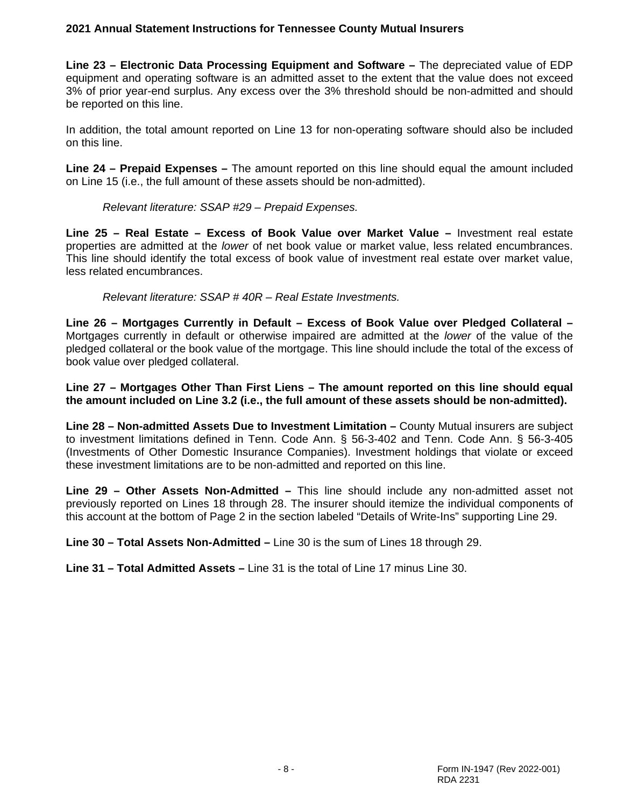**Line 23 – Electronic Data Processing Equipment and Software –** The depreciated value of EDP equipment and operating software is an admitted asset to the extent that the value does not exceed 3% of prior year-end surplus. Any excess over the 3% threshold should be non-admitted and should be reported on this line.

In addition, the total amount reported on Line 13 for non-operating software should also be included on this line.

**Line 24 – Prepaid Expenses –** The amount reported on this line should equal the amount included on Line 15 (i.e., the full amount of these assets should be non-admitted).

*Relevant literature: SSAP #29 – Prepaid Expenses.*

**Line 25 – Real Estate – Excess of Book Value over Market Value –** Investment real estate properties are admitted at the *lower* of net book value or market value, less related encumbrances. This line should identify the total excess of book value of investment real estate over market value, less related encumbrances.

*Relevant literature: SSAP # 40R – Real Estate Investments.*

**Line 26 – Mortgages Currently in Default – Excess of Book Value over Pledged Collateral –** Mortgages currently in default or otherwise impaired are admitted at the *lower* of the value of the pledged collateral or the book value of the mortgage. This line should include the total of the excess of book value over pledged collateral.

**Line 27 – Mortgages Other Than First Liens – The amount reported on this line should equal the amount included on Line 3.2 (i.e., the full amount of these assets should be non-admitted).**

**Line 28 – Non-admitted Assets Due to Investment Limitation –** County Mutual insurers are subject to investment limitations defined in Tenn. Code Ann. § 56-3-402 and Tenn. Code Ann. § 56-3-405 (Investments of Other Domestic Insurance Companies). Investment holdings that violate or exceed these investment limitations are to be non-admitted and reported on this line.

**Line 29 – Other Assets Non-Admitted –** This line should include any non-admitted asset not previously reported on Lines 18 through 28. The insurer should itemize the individual components of this account at the bottom of Page 2 in the section labeled "Details of Write-Ins" supporting Line 29.

**Line 30 – Total Assets Non-Admitted –** Line 30 is the sum of Lines 18 through 29.

**Line 31 – Total Admitted Assets –** Line 31 is the total of Line 17 minus Line 30.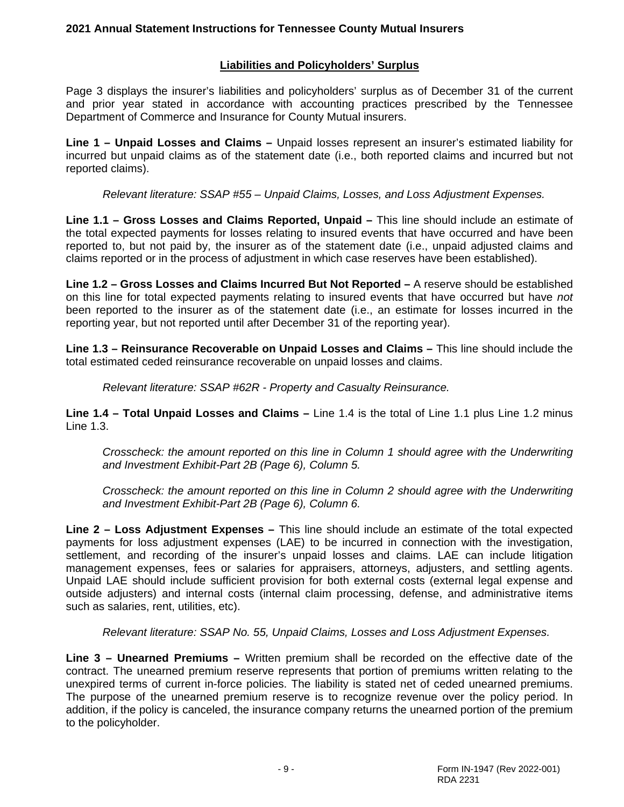# **Liabilities and Policyholders' Surplus**

Page 3 displays the insurer's liabilities and policyholders' surplus as of December 31 of the current and prior year stated in accordance with accounting practices prescribed by the Tennessee Department of Commerce and Insurance for County Mutual insurers.

**Line 1 – Unpaid Losses and Claims –** Unpaid losses represent an insurer's estimated liability for incurred but unpaid claims as of the statement date (i.e., both reported claims and incurred but not reported claims).

*Relevant literature: SSAP #55 – Unpaid Claims, Losses, and Loss Adjustment Expenses.*

**Line 1.1 – Gross Losses and Claims Reported, Unpaid –** This line should include an estimate of the total expected payments for losses relating to insured events that have occurred and have been reported to, but not paid by, the insurer as of the statement date (i.e., unpaid adjusted claims and claims reported or in the process of adjustment in which case reserves have been established).

**Line 1.2 – Gross Losses and Claims Incurred But Not Reported –** A reserve should be established on this line for total expected payments relating to insured events that have occurred but have *not* been reported to the insurer as of the statement date (i.e., an estimate for losses incurred in the reporting year, but not reported until after December 31 of the reporting year).

**Line 1.3 – Reinsurance Recoverable on Unpaid Losses and Claims –** This line should include the total estimated ceded reinsurance recoverable on unpaid losses and claims.

*Relevant literature: SSAP #62R - Property and Casualty Reinsurance.*

**Line 1.4 – Total Unpaid Losses and Claims –** Line 1.4 is the total of Line 1.1 plus Line 1.2 minus Line 1.3.

*Crosscheck: the amount reported on this line in Column 1 should agree with the Underwriting and Investment Exhibit-Part 2B (Page 6), Column 5.* 

*Crosscheck: the amount reported on this line in Column 2 should agree with the Underwriting and Investment Exhibit-Part 2B (Page 6), Column 6.*

**Line 2 – Loss Adjustment Expenses –** This line should include an estimate of the total expected payments for loss adjustment expenses (LAE) to be incurred in connection with the investigation, settlement, and recording of the insurer's unpaid losses and claims. LAE can include litigation management expenses, fees or salaries for appraisers, attorneys, adjusters, and settling agents. Unpaid LAE should include sufficient provision for both external costs (external legal expense and outside adjusters) and internal costs (internal claim processing, defense, and administrative items such as salaries, rent, utilities, etc).

*Relevant literature: SSAP No. 55, Unpaid Claims, Losses and Loss Adjustment Expenses.*

**Line 3 – Unearned Premiums –** Written premium shall be recorded on the effective date of the contract. The unearned premium reserve represents that portion of premiums written relating to the unexpired terms of current in-force policies. The liability is stated net of ceded unearned premiums. The purpose of the unearned premium reserve is to recognize revenue over the policy period. In addition, if the policy is canceled, the insurance company returns the unearned portion of the premium to the policyholder.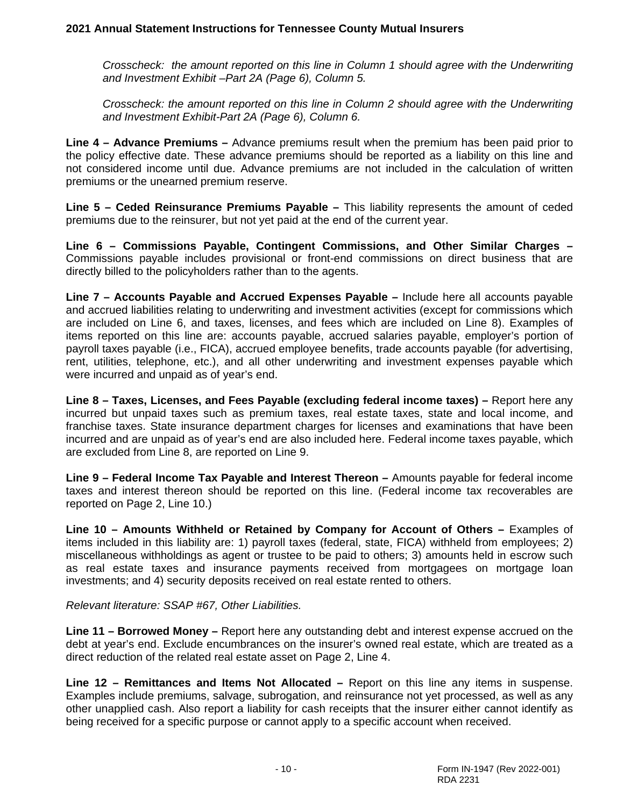*Crosscheck: the amount reported on this line in Column 1 should agree with the Underwriting and Investment Exhibit –Part 2A (Page 6), Column 5.* 

*Crosscheck: the amount reported on this line in Column 2 should agree with the Underwriting and Investment Exhibit-Part 2A (Page 6), Column 6.*

**Line 4 – Advance Premiums –** Advance premiums result when the premium has been paid prior to the policy effective date. These advance premiums should be reported as a liability on this line and not considered income until due. Advance premiums are not included in the calculation of written premiums or the unearned premium reserve.

**Line 5 – Ceded Reinsurance Premiums Payable –** This liability represents the amount of ceded premiums due to the reinsurer, but not yet paid at the end of the current year.

**Line 6 – Commissions Payable, Contingent Commissions, and Other Similar Charges –** Commissions payable includes provisional or front-end commissions on direct business that are directly billed to the policyholders rather than to the agents.

**Line 7 – Accounts Payable and Accrued Expenses Payable –** Include here all accounts payable and accrued liabilities relating to underwriting and investment activities (except for commissions which are included on Line 6, and taxes, licenses, and fees which are included on Line 8). Examples of items reported on this line are: accounts payable, accrued salaries payable, employer's portion of payroll taxes payable (i.e., FICA), accrued employee benefits, trade accounts payable (for advertising, rent, utilities, telephone, etc.), and all other underwriting and investment expenses payable which were incurred and unpaid as of year's end.

**Line 8 – Taxes, Licenses, and Fees Payable (excluding federal income taxes) –** Report here any incurred but unpaid taxes such as premium taxes, real estate taxes, state and local income, and franchise taxes. State insurance department charges for licenses and examinations that have been incurred and are unpaid as of year's end are also included here. Federal income taxes payable, which are excluded from Line 8, are reported on Line 9.

**Line 9 – Federal Income Tax Payable and Interest Thereon –** Amounts payable for federal income taxes and interest thereon should be reported on this line. (Federal income tax recoverables are reported on Page 2, Line 10.)

**Line 10 – Amounts Withheld or Retained by Company for Account of Others –** Examples of items included in this liability are: 1) payroll taxes (federal, state, FICA) withheld from employees; 2) miscellaneous withholdings as agent or trustee to be paid to others; 3) amounts held in escrow such as real estate taxes and insurance payments received from mortgagees on mortgage loan investments; and 4) security deposits received on real estate rented to others.

#### *Relevant literature: SSAP #67, Other Liabilities.*

**Line 11 – Borrowed Money –** Report here any outstanding debt and interest expense accrued on the debt at year's end. Exclude encumbrances on the insurer's owned real estate, which are treated as a direct reduction of the related real estate asset on Page 2, Line 4.

**Line 12 – Remittances and Items Not Allocated –** Report on this line any items in suspense. Examples include premiums, salvage, subrogation, and reinsurance not yet processed, as well as any other unapplied cash. Also report a liability for cash receipts that the insurer either cannot identify as being received for a specific purpose or cannot apply to a specific account when received.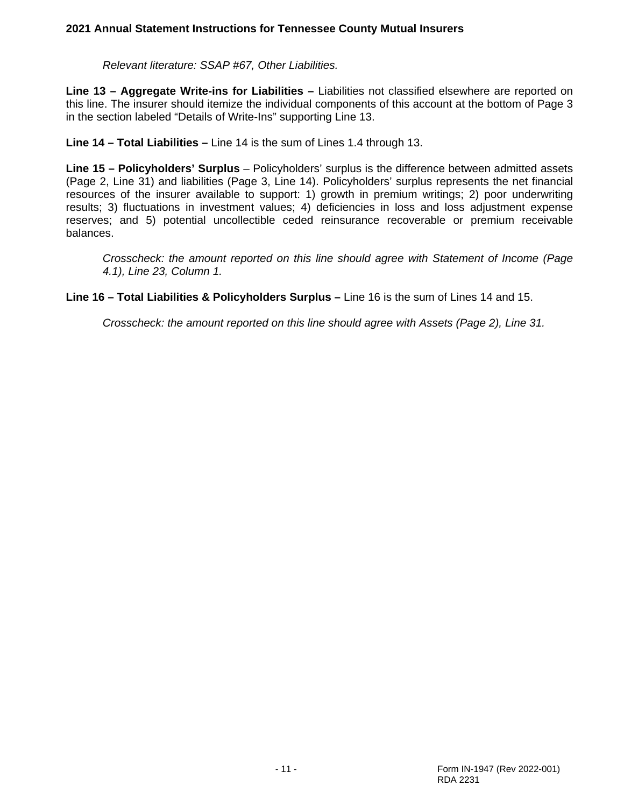*Relevant literature: SSAP #67, Other Liabilities.*

**Line 13 – Aggregate Write-ins for Liabilities –** Liabilities not classified elsewhere are reported on this line. The insurer should itemize the individual components of this account at the bottom of Page 3 in the section labeled "Details of Write-Ins" supporting Line 13.

**Line 14 – Total Liabilities –** Line 14 is the sum of Lines 1.4 through 13.

**Line 15 – Policyholders' Surplus** – Policyholders' surplus is the difference between admitted assets (Page 2, Line 31) and liabilities (Page 3, Line 14). Policyholders' surplus represents the net financial resources of the insurer available to support: 1) growth in premium writings; 2) poor underwriting results; 3) fluctuations in investment values; 4) deficiencies in loss and loss adjustment expense reserves; and 5) potential uncollectible ceded reinsurance recoverable or premium receivable balances.

*Crosscheck: the amount reported on this line should agree with Statement of Income (Page 4.1), Line 23, Column 1.*

**Line 16 – Total Liabilities & Policyholders Surplus –** Line 16 is the sum of Lines 14 and 15.

*Crosscheck: the amount reported on this line should agree with Assets (Page 2), Line 31.*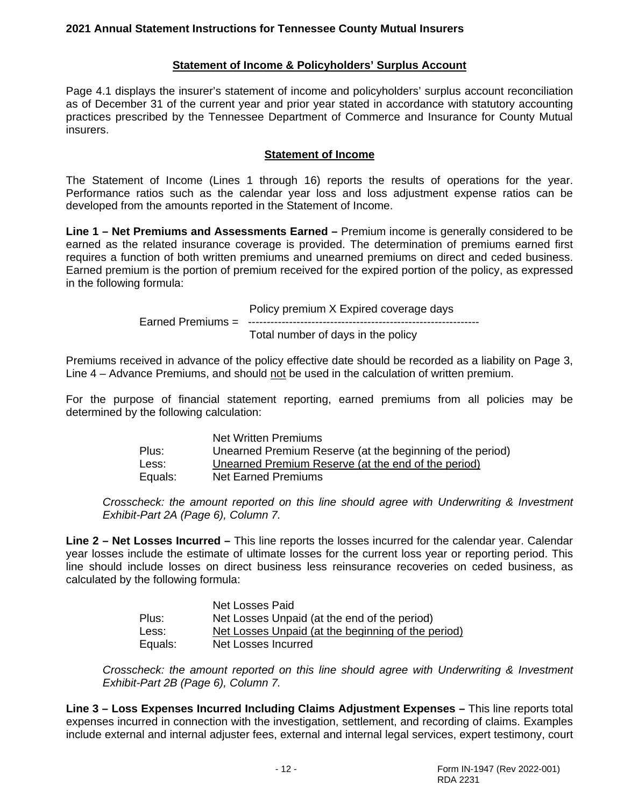### **Statement of Income & Policyholders' Surplus Account**

Page 4.1 displays the insurer's statement of income and policyholders' surplus account reconciliation as of December 31 of the current year and prior year stated in accordance with statutory accounting practices prescribed by the Tennessee Department of Commerce and Insurance for County Mutual insurers.

#### **Statement of Income**

The Statement of Income (Lines 1 through 16) reports the results of operations for the year. Performance ratios such as the calendar year loss and loss adjustment expense ratios can be developed from the amounts reported in the Statement of Income.

**Line 1 – Net Premiums and Assessments Earned –** Premium income is generally considered to be earned as the related insurance coverage is provided. The determination of premiums earned first requires a function of both written premiums and unearned premiums on direct and ceded business. Earned premium is the portion of premium received for the expired portion of the policy, as expressed in the following formula:

> Policy premium X Expired coverage days Earned Premiums = -------------------------------------------------------------- Total number of days in the policy

Premiums received in advance of the policy effective date should be recorded as a liability on Page 3, Line 4 – Advance Premiums, and should not be used in the calculation of written premium.

For the purpose of financial statement reporting, earned premiums from all policies may be determined by the following calculation:

|         | Net Written Premiums                                      |
|---------|-----------------------------------------------------------|
| Plus:   | Unearned Premium Reserve (at the beginning of the period) |
| Less:   | Unearned Premium Reserve (at the end of the period)       |
| Equals: | Net Earned Premiums                                       |

*Crosscheck: the amount reported on this line should agree with Underwriting & Investment Exhibit-Part 2A (Page 6), Column 7.*

**Line 2 – Net Losses Incurred –** This line reports the losses incurred for the calendar year. Calendar year losses include the estimate of ultimate losses for the current loss year or reporting period. This line should include losses on direct business less reinsurance recoveries on ceded business, as calculated by the following formula:

|         | Net Losses Paid                                    |
|---------|----------------------------------------------------|
| Plus:   | Net Losses Unpaid (at the end of the period)       |
| Less:   | Net Losses Unpaid (at the beginning of the period) |
| Equals: | Net Losses Incurred                                |

*Crosscheck: the amount reported on this line should agree with Underwriting & Investment Exhibit-Part 2B (Page 6), Column 7.*

**Line 3 – Loss Expenses Incurred Including Claims Adjustment Expenses –** This line reports total expenses incurred in connection with the investigation, settlement, and recording of claims. Examples include external and internal adjuster fees, external and internal legal services, expert testimony, court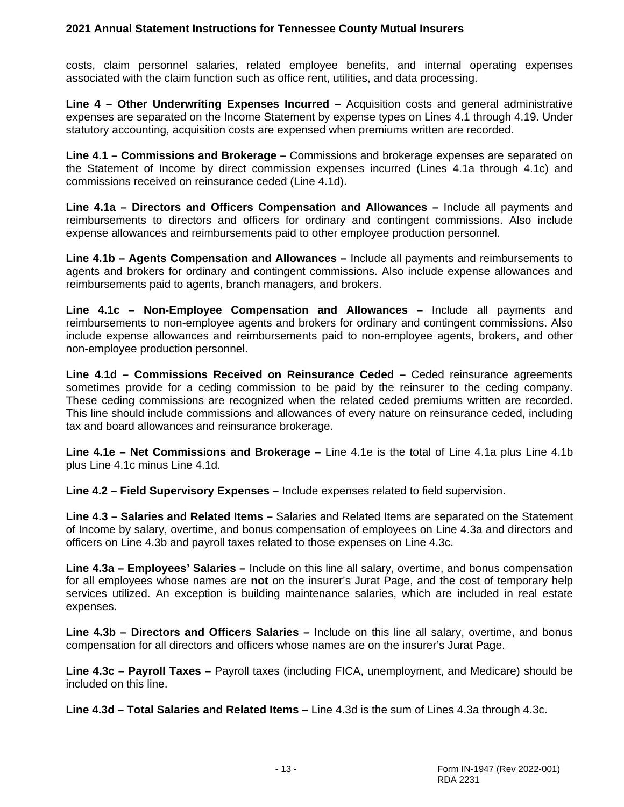costs, claim personnel salaries, related employee benefits, and internal operating expenses associated with the claim function such as office rent, utilities, and data processing.

**Line 4 – Other Underwriting Expenses Incurred –** Acquisition costs and general administrative expenses are separated on the Income Statement by expense types on Lines 4.1 through 4.19. Under statutory accounting, acquisition costs are expensed when premiums written are recorded.

**Line 4.1 – Commissions and Brokerage –** Commissions and brokerage expenses are separated on the Statement of Income by direct commission expenses incurred (Lines 4.1a through 4.1c) and commissions received on reinsurance ceded (Line 4.1d).

**Line 4.1a – Directors and Officers Compensation and Allowances –** Include all payments and reimbursements to directors and officers for ordinary and contingent commissions. Also include expense allowances and reimbursements paid to other employee production personnel.

**Line 4.1b – Agents Compensation and Allowances –** Include all payments and reimbursements to agents and brokers for ordinary and contingent commissions. Also include expense allowances and reimbursements paid to agents, branch managers, and brokers.

**Line 4.1c – Non-Employee Compensation and Allowances –** Include all payments and reimbursements to non-employee agents and brokers for ordinary and contingent commissions. Also include expense allowances and reimbursements paid to non-employee agents, brokers, and other non-employee production personnel.

**Line 4.1d – Commissions Received on Reinsurance Ceded –** Ceded reinsurance agreements sometimes provide for a ceding commission to be paid by the reinsurer to the ceding company. These ceding commissions are recognized when the related ceded premiums written are recorded. This line should include commissions and allowances of every nature on reinsurance ceded, including tax and board allowances and reinsurance brokerage.

**Line 4.1e – Net Commissions and Brokerage –** Line 4.1e is the total of Line 4.1a plus Line 4.1b plus Line 4.1c minus Line 4.1d.

**Line 4.2 – Field Supervisory Expenses –** Include expenses related to field supervision.

**Line 4.3 – Salaries and Related Items –** Salaries and Related Items are separated on the Statement of Income by salary, overtime, and bonus compensation of employees on Line 4.3a and directors and officers on Line 4.3b and payroll taxes related to those expenses on Line 4.3c.

**Line 4.3a – Employees' Salaries –** Include on this line all salary, overtime, and bonus compensation for all employees whose names are **not** on the insurer's Jurat Page, and the cost of temporary help services utilized. An exception is building maintenance salaries, which are included in real estate expenses.

**Line 4.3b – Directors and Officers Salaries –** Include on this line all salary, overtime, and bonus compensation for all directors and officers whose names are on the insurer's Jurat Page.

**Line 4.3c – Payroll Taxes –** Payroll taxes (including FICA, unemployment, and Medicare) should be included on this line.

**Line 4.3d – Total Salaries and Related Items –** Line 4.3d is the sum of Lines 4.3a through 4.3c.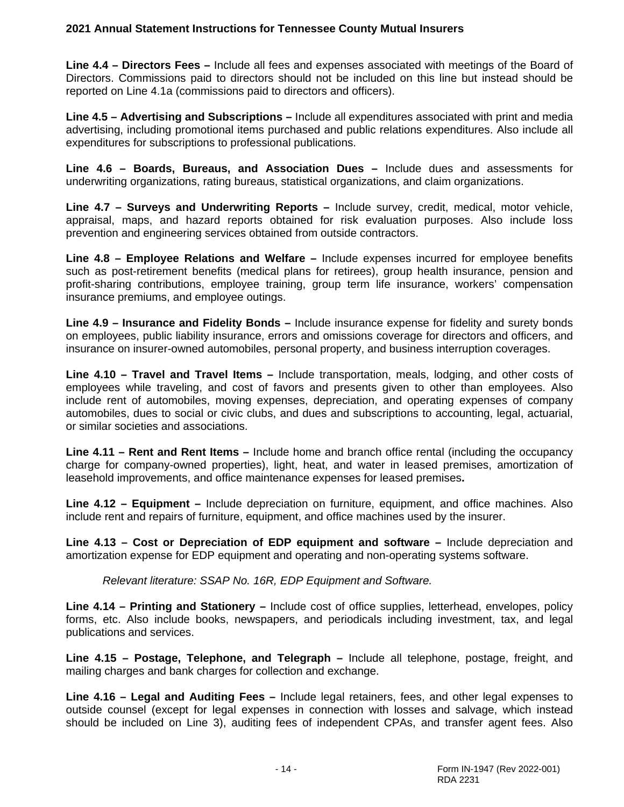**Line 4.4 – Directors Fees –** Include all fees and expenses associated with meetings of the Board of Directors. Commissions paid to directors should not be included on this line but instead should be reported on Line 4.1a (commissions paid to directors and officers).

**Line 4.5 – Advertising and Subscriptions –** Include all expenditures associated with print and media advertising, including promotional items purchased and public relations expenditures. Also include all expenditures for subscriptions to professional publications.

**Line 4.6 – Boards, Bureaus, and Association Dues –** Include dues and assessments for underwriting organizations, rating bureaus, statistical organizations, and claim organizations.

**Line 4.7 – Surveys and Underwriting Reports –** Include survey, credit, medical, motor vehicle, appraisal, maps, and hazard reports obtained for risk evaluation purposes. Also include loss prevention and engineering services obtained from outside contractors.

**Line 4.8 – Employee Relations and Welfare –** Include expenses incurred for employee benefits such as post-retirement benefits (medical plans for retirees), group health insurance, pension and profit-sharing contributions, employee training, group term life insurance, workers' compensation insurance premiums, and employee outings.

**Line 4.9 – Insurance and Fidelity Bonds –** Include insurance expense for fidelity and surety bonds on employees, public liability insurance, errors and omissions coverage for directors and officers, and insurance on insurer-owned automobiles, personal property, and business interruption coverages.

**Line 4.10 – Travel and Travel Items –** Include transportation, meals, lodging, and other costs of employees while traveling, and cost of favors and presents given to other than employees. Also include rent of automobiles, moving expenses, depreciation, and operating expenses of company automobiles, dues to social or civic clubs, and dues and subscriptions to accounting, legal, actuarial, or similar societies and associations.

**Line 4.11 – Rent and Rent Items –** Include home and branch office rental (including the occupancy charge for company-owned properties), light, heat, and water in leased premises, amortization of leasehold improvements, and office maintenance expenses for leased premises**.**

**Line 4.12 – Equipment –** Include depreciation on furniture, equipment, and office machines. Also include rent and repairs of furniture, equipment, and office machines used by the insurer.

**Line 4.13 – Cost or Depreciation of EDP equipment and software –** Include depreciation and amortization expense for EDP equipment and operating and non-operating systems software.

*Relevant literature: SSAP No. 16R, EDP Equipment and Software.*

**Line 4.14 – Printing and Stationery –** Include cost of office supplies, letterhead, envelopes, policy forms, etc. Also include books, newspapers, and periodicals including investment, tax, and legal publications and services.

**Line 4.15 – Postage, Telephone, and Telegraph –** Include all telephone, postage, freight, and mailing charges and bank charges for collection and exchange.

**Line 4.16 – Legal and Auditing Fees –** Include legal retainers, fees, and other legal expenses to outside counsel (except for legal expenses in connection with losses and salvage, which instead should be included on Line 3), auditing fees of independent CPAs, and transfer agent fees. Also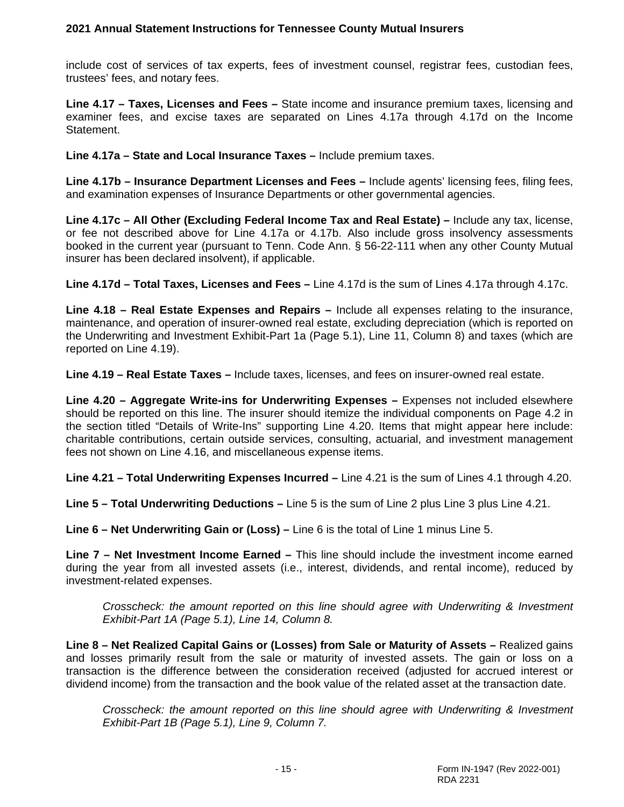include cost of services of tax experts, fees of investment counsel, registrar fees, custodian fees, trustees' fees, and notary fees.

**Line 4.17 – Taxes, Licenses and Fees –** State income and insurance premium taxes, licensing and examiner fees, and excise taxes are separated on Lines 4.17a through 4.17d on the Income Statement.

**Line 4.17a – State and Local Insurance Taxes –** Include premium taxes.

**Line 4.17b – Insurance Department Licenses and Fees –** Include agents' licensing fees, filing fees, and examination expenses of Insurance Departments or other governmental agencies.

**Line 4.17c – All Other (Excluding Federal Income Tax and Real Estate) –** Include any tax, license, or fee not described above for Line 4.17a or 4.17b. Also include gross insolvency assessments booked in the current year (pursuant to Tenn. Code Ann. § 56-22-111 when any other County Mutual insurer has been declared insolvent), if applicable.

**Line 4.17d – Total Taxes, Licenses and Fees –** Line 4.17d is the sum of Lines 4.17a through 4.17c.

**Line 4.18 – Real Estate Expenses and Repairs –** Include all expenses relating to the insurance, maintenance, and operation of insurer-owned real estate, excluding depreciation (which is reported on the Underwriting and Investment Exhibit-Part 1a (Page 5.1), Line 11, Column 8) and taxes (which are reported on Line 4.19).

**Line 4.19 – Real Estate Taxes –** Include taxes, licenses, and fees on insurer-owned real estate.

**Line 4.20 – Aggregate Write-ins for Underwriting Expenses –** Expenses not included elsewhere should be reported on this line. The insurer should itemize the individual components on Page 4.2 in the section titled "Details of Write-Ins" supporting Line 4.20. Items that might appear here include: charitable contributions, certain outside services, consulting, actuarial, and investment management fees not shown on Line 4.16, and miscellaneous expense items.

**Line 4.21 – Total Underwriting Expenses Incurred –** Line 4.21 is the sum of Lines 4.1 through 4.20.

**Line 5 – Total Underwriting Deductions –** Line 5 is the sum of Line 2 plus Line 3 plus Line 4.21.

**Line 6 – Net Underwriting Gain or (Loss) –** Line 6 is the total of Line 1 minus Line 5.

**Line 7 – Net Investment Income Earned –** This line should include the investment income earned during the year from all invested assets (i.e., interest, dividends, and rental income), reduced by investment-related expenses.

*Crosscheck: the amount reported on this line should agree with Underwriting & Investment Exhibit-Part 1A (Page 5.1), Line 14, Column 8.*

**Line 8 – Net Realized Capital Gains or (Losses) from Sale or Maturity of Assets –** Realized gains and losses primarily result from the sale or maturity of invested assets. The gain or loss on a transaction is the difference between the consideration received (adjusted for accrued interest or dividend income) from the transaction and the book value of the related asset at the transaction date.

*Crosscheck: the amount reported on this line should agree with Underwriting & Investment Exhibit-Part 1B (Page 5.1), Line 9, Column 7.*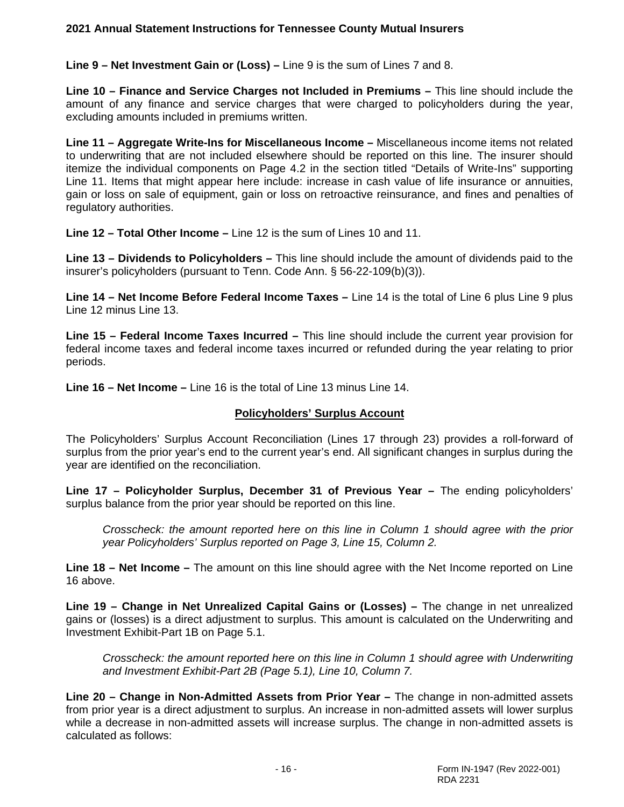**Line 9 – Net Investment Gain or (Loss) –** Line 9 is the sum of Lines 7 and 8.

**Line 10 – Finance and Service Charges not Included in Premiums –** This line should include the amount of any finance and service charges that were charged to policyholders during the year, excluding amounts included in premiums written.

**Line 11 – Aggregate Write-Ins for Miscellaneous Income –** Miscellaneous income items not related to underwriting that are not included elsewhere should be reported on this line. The insurer should itemize the individual components on Page 4.2 in the section titled "Details of Write-Ins" supporting Line 11. Items that might appear here include: increase in cash value of life insurance or annuities, gain or loss on sale of equipment, gain or loss on retroactive reinsurance, and fines and penalties of regulatory authorities.

**Line 12 – Total Other Income –** Line 12 is the sum of Lines 10 and 11.

**Line 13 – Dividends to Policyholders –** This line should include the amount of dividends paid to the insurer's policyholders (pursuant to Tenn. Code Ann. § 56-22-109(b)(3)).

**Line 14 – Net Income Before Federal Income Taxes –** Line 14 is the total of Line 6 plus Line 9 plus Line 12 minus Line 13.

**Line 15 – Federal Income Taxes Incurred –** This line should include the current year provision for federal income taxes and federal income taxes incurred or refunded during the year relating to prior periods.

**Line 16 – Net Income –** Line 16 is the total of Line 13 minus Line 14.

## **Policyholders' Surplus Account**

The Policyholders' Surplus Account Reconciliation (Lines 17 through 23) provides a roll-forward of surplus from the prior year's end to the current year's end. All significant changes in surplus during the year are identified on the reconciliation.

**Line 17 – Policyholder Surplus, December 31 of Previous Year –** The ending policyholders' surplus balance from the prior year should be reported on this line.

*Crosscheck: the amount reported here on this line in Column 1 should agree with the prior year Policyholders' Surplus reported on Page 3, Line 15, Column 2.*

**Line 18 – Net Income –** The amount on this line should agree with the Net Income reported on Line 16 above.

**Line 19 – Change in Net Unrealized Capital Gains or (Losses) –** The change in net unrealized gains or (losses) is a direct adjustment to surplus. This amount is calculated on the Underwriting and Investment Exhibit-Part 1B on Page 5.1.

*Crosscheck: the amount reported here on this line in Column 1 should agree with Underwriting and Investment Exhibit-Part 2B (Page 5.1), Line 10, Column 7.*

**Line 20 – Change in Non-Admitted Assets from Prior Year –** The change in non-admitted assets from prior year is a direct adjustment to surplus. An increase in non-admitted assets will lower surplus while a decrease in non-admitted assets will increase surplus. The change in non-admitted assets is calculated as follows: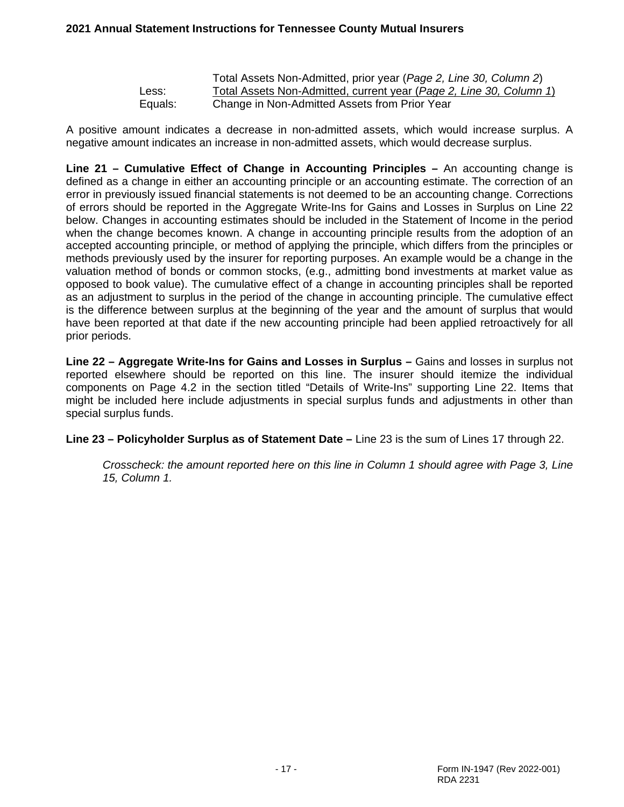|         | Total Assets Non-Admitted, prior year (Page 2, Line 30, Column 2)   |
|---------|---------------------------------------------------------------------|
| Less:   | Total Assets Non-Admitted, current year (Page 2, Line 30, Column 1) |
| Equals: | Change in Non-Admitted Assets from Prior Year                       |

A positive amount indicates a decrease in non-admitted assets, which would increase surplus. A negative amount indicates an increase in non-admitted assets, which would decrease surplus.

**Line 21 – Cumulative Effect of Change in Accounting Principles –** An accounting change is defined as a change in either an accounting principle or an accounting estimate. The correction of an error in previously issued financial statements is not deemed to be an accounting change. Corrections of errors should be reported in the Aggregate Write-Ins for Gains and Losses in Surplus on Line 22 below. Changes in accounting estimates should be included in the Statement of Income in the period when the change becomes known. A change in accounting principle results from the adoption of an accepted accounting principle, or method of applying the principle, which differs from the principles or methods previously used by the insurer for reporting purposes. An example would be a change in the valuation method of bonds or common stocks, (e.g., admitting bond investments at market value as opposed to book value). The cumulative effect of a change in accounting principles shall be reported as an adjustment to surplus in the period of the change in accounting principle. The cumulative effect is the difference between surplus at the beginning of the year and the amount of surplus that would have been reported at that date if the new accounting principle had been applied retroactively for all prior periods.

**Line 22 – Aggregate Write-Ins for Gains and Losses in Surplus –** Gains and losses in surplus not reported elsewhere should be reported on this line. The insurer should itemize the individual components on Page 4.2 in the section titled "Details of Write-Ins" supporting Line 22. Items that might be included here include adjustments in special surplus funds and adjustments in other than special surplus funds.

**Line 23 – Policyholder Surplus as of Statement Date –** Line 23 is the sum of Lines 17 through 22.

*Crosscheck: the amount reported here on this line in Column 1 should agree with Page 3, Line 15, Column 1.*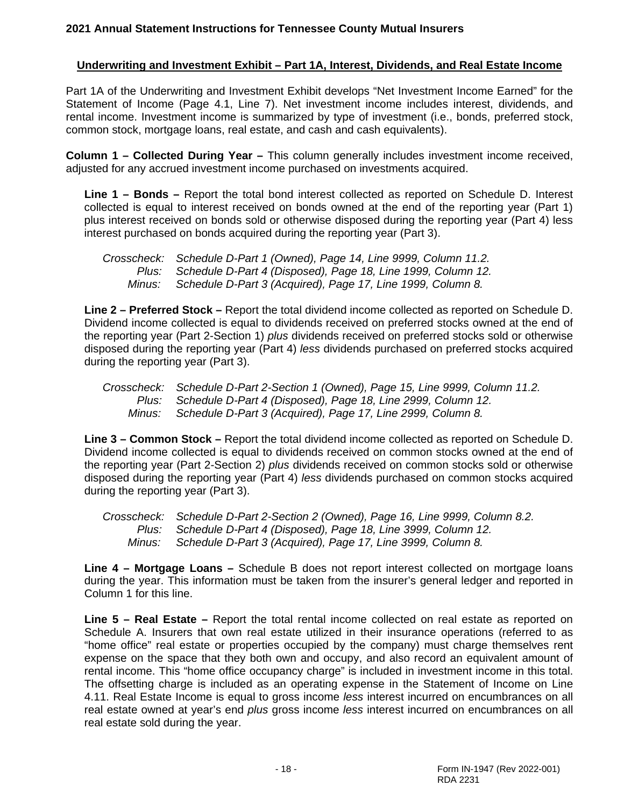# **Underwriting and Investment Exhibit – Part 1A, Interest, Dividends, and Real Estate Income**

Part 1A of the Underwriting and Investment Exhibit develops "Net Investment Income Earned" for the Statement of Income (Page 4.1, Line 7). Net investment income includes interest, dividends, and rental income. Investment income is summarized by type of investment (i.e., bonds, preferred stock, common stock, mortgage loans, real estate, and cash and cash equivalents).

**Column 1 – Collected During Year –** This column generally includes investment income received, adjusted for any accrued investment income purchased on investments acquired.

**Line 1 – Bonds –** Report the total bond interest collected as reported on Schedule D. Interest collected is equal to interest received on bonds owned at the end of the reporting year (Part 1) plus interest received on bonds sold or otherwise disposed during the reporting year (Part 4) less interest purchased on bonds acquired during the reporting year (Part 3).

|        | Crosscheck: Schedule D-Part 1 (Owned), Page 14, Line 9999, Column 11.2. |
|--------|-------------------------------------------------------------------------|
|        | Plus: Schedule D-Part 4 (Disposed), Page 18, Line 1999, Column 12.      |
| Minus: | Schedule D-Part 3 (Acquired), Page 17, Line 1999, Column 8.             |

**Line 2 – Preferred Stock –** Report the total dividend income collected as reported on Schedule D. Dividend income collected is equal to dividends received on preferred stocks owned at the end of the reporting year (Part 2-Section 1) *plus* dividends received on preferred stocks sold or otherwise disposed during the reporting year (Part 4) *less* dividends purchased on preferred stocks acquired during the reporting year (Part 3).

*Crosscheck: Schedule D-Part 2-Section 1 (Owned), Page 15, Line 9999, Column 11.2. Plus: Schedule D-Part 4 (Disposed), Page 18, Line 2999, Column 12. Minus: Schedule D-Part 3 (Acquired), Page 17, Line 2999, Column 8.*

**Line 3 – Common Stock –** Report the total dividend income collected as reported on Schedule D. Dividend income collected is equal to dividends received on common stocks owned at the end of the reporting year (Part 2-Section 2) *plus* dividends received on common stocks sold or otherwise disposed during the reporting year (Part 4) *less* dividends purchased on common stocks acquired during the reporting year (Part 3).

*Crosscheck: Schedule D-Part 2-Section 2 (Owned), Page 16, Line 9999, Column 8.2. Plus: Schedule D-Part 4 (Disposed), Page 18, Line 3999, Column 12. Minus: Schedule D-Part 3 (Acquired), Page 17, Line 3999, Column 8.*

**Line 4 – Mortgage Loans –** Schedule B does not report interest collected on mortgage loans during the year. This information must be taken from the insurer's general ledger and reported in Column 1 for this line.

**Line 5 – Real Estate –** Report the total rental income collected on real estate as reported on Schedule A. Insurers that own real estate utilized in their insurance operations (referred to as "home office" real estate or properties occupied by the company) must charge themselves rent expense on the space that they both own and occupy, and also record an equivalent amount of rental income. This "home office occupancy charge" is included in investment income in this total. The offsetting charge is included as an operating expense in the Statement of Income on Line 4.11. Real Estate Income is equal to gross income *less* interest incurred on encumbrances on all real estate owned at year's end *plus* gross income *less* interest incurred on encumbrances on all real estate sold during the year.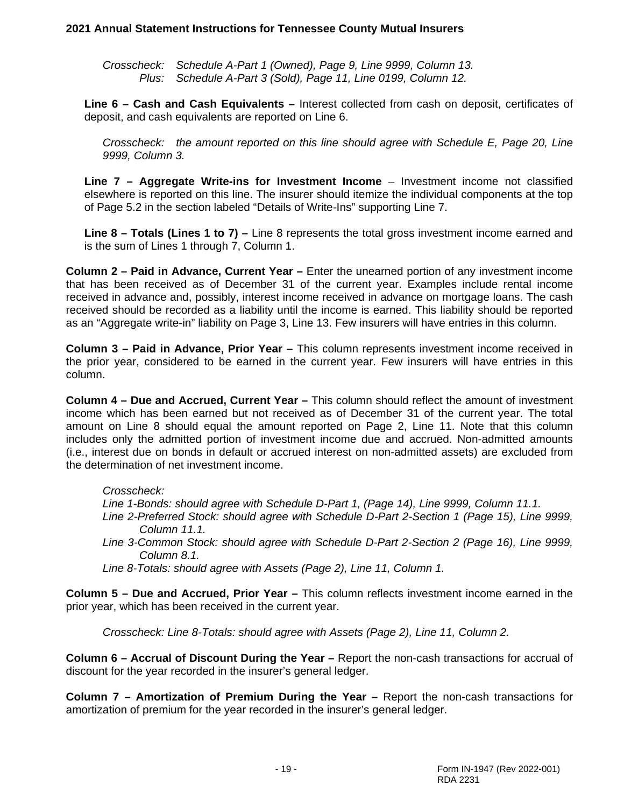*Crosscheck: Schedule A-Part 1 (Owned), Page 9, Line 9999, Column 13. Plus: Schedule A-Part 3 (Sold), Page 11, Line 0199, Column 12.*

**Line 6 – Cash and Cash Equivalents –** Interest collected from cash on deposit, certificates of deposit, and cash equivalents are reported on Line 6.

*Crosscheck: the amount reported on this line should agree with Schedule E, Page 20, Line 9999, Column 3.*

**Line 7 – Aggregate Write-ins for Investment Income** – Investment income not classified elsewhere is reported on this line. The insurer should itemize the individual components at the top of Page 5.2 in the section labeled "Details of Write-Ins" supporting Line 7.

**Line 8 – Totals (Lines 1 to 7) –** Line 8 represents the total gross investment income earned and is the sum of Lines 1 through 7, Column 1.

**Column 2 – Paid in Advance, Current Year –** Enter the unearned portion of any investment income that has been received as of December 31 of the current year. Examples include rental income received in advance and, possibly, interest income received in advance on mortgage loans. The cash received should be recorded as a liability until the income is earned. This liability should be reported as an "Aggregate write-in" liability on Page 3, Line 13. Few insurers will have entries in this column.

**Column 3 – Paid in Advance, Prior Year –** This column represents investment income received in the prior year, considered to be earned in the current year. Few insurers will have entries in this column.

**Column 4 – Due and Accrued, Current Year –** This column should reflect the amount of investment income which has been earned but not received as of December 31 of the current year. The total amount on Line 8 should equal the amount reported on Page 2, Line 11. Note that this column includes only the admitted portion of investment income due and accrued. Non-admitted amounts (i.e., interest due on bonds in default or accrued interest on non-admitted assets) are excluded from the determination of net investment income.

## *Crosscheck:*

*Line 1-Bonds: should agree with Schedule D-Part 1, (Page 14), Line 9999, Column 11.1.*

- *Line 2-Preferred Stock: should agree with Schedule D-Part 2-Section 1 (Page 15), Line 9999, Column 11.1.*
- *Line 3-Common Stock: should agree with Schedule D-Part 2-Section 2 (Page 16), Line 9999, Column 8.1.*
- *Line 8-Totals: should agree with Assets (Page 2), Line 11, Column 1.*

**Column 5 – Due and Accrued, Prior Year –** This column reflects investment income earned in the prior year, which has been received in the current year.

*Crosscheck: Line 8-Totals: should agree with Assets (Page 2), Line 11, Column 2.*

**Column 6 – Accrual of Discount During the Year –** Report the non-cash transactions for accrual of discount for the year recorded in the insurer's general ledger.

**Column 7 – Amortization of Premium During the Year –** Report the non-cash transactions for amortization of premium for the year recorded in the insurer's general ledger.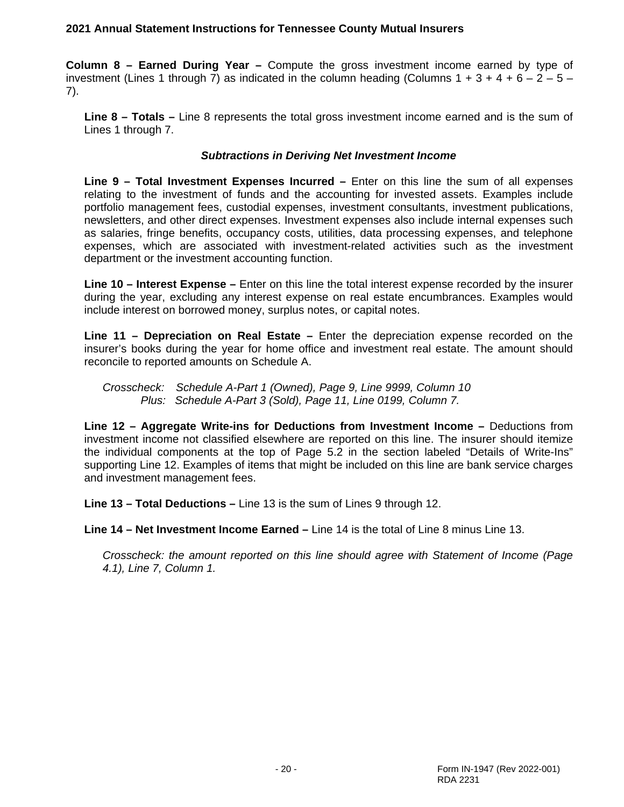**Column 8 – Earned During Year –** Compute the gross investment income earned by type of investment (Lines 1 through 7) as indicated in the column heading (Columns  $1 + 3 + 4 + 6 - 2 - 5 - 1$ 7).

**Line 8 – Totals –** Line 8 represents the total gross investment income earned and is the sum of Lines 1 through 7.

#### *Subtractions in Deriving Net Investment Income*

**Line 9 – Total Investment Expenses Incurred –** Enter on this line the sum of all expenses relating to the investment of funds and the accounting for invested assets. Examples include portfolio management fees, custodial expenses, investment consultants, investment publications, newsletters, and other direct expenses. Investment expenses also include internal expenses such as salaries, fringe benefits, occupancy costs, utilities, data processing expenses, and telephone expenses, which are associated with investment-related activities such as the investment department or the investment accounting function.

**Line 10 – Interest Expense –** Enter on this line the total interest expense recorded by the insurer during the year, excluding any interest expense on real estate encumbrances. Examples would include interest on borrowed money, surplus notes, or capital notes.

**Line 11 – Depreciation on Real Estate –** Enter the depreciation expense recorded on the insurer's books during the year for home office and investment real estate. The amount should reconcile to reported amounts on Schedule A.

*Crosscheck: Schedule A-Part 1 (Owned), Page 9, Line 9999, Column 10 Plus: Schedule A-Part 3 (Sold), Page 11, Line 0199, Column 7.*

**Line 12 – Aggregate Write-ins for Deductions from Investment Income –** Deductions from investment income not classified elsewhere are reported on this line. The insurer should itemize the individual components at the top of Page 5.2 in the section labeled "Details of Write-Ins" supporting Line 12. Examples of items that might be included on this line are bank service charges and investment management fees.

**Line 13 – Total Deductions –** Line 13 is the sum of Lines 9 through 12.

**Line 14 – Net Investment Income Earned –** Line 14 is the total of Line 8 minus Line 13.

*Crosscheck: the amount reported on this line should agree with Statement of Income (Page 4.1), Line 7, Column 1.*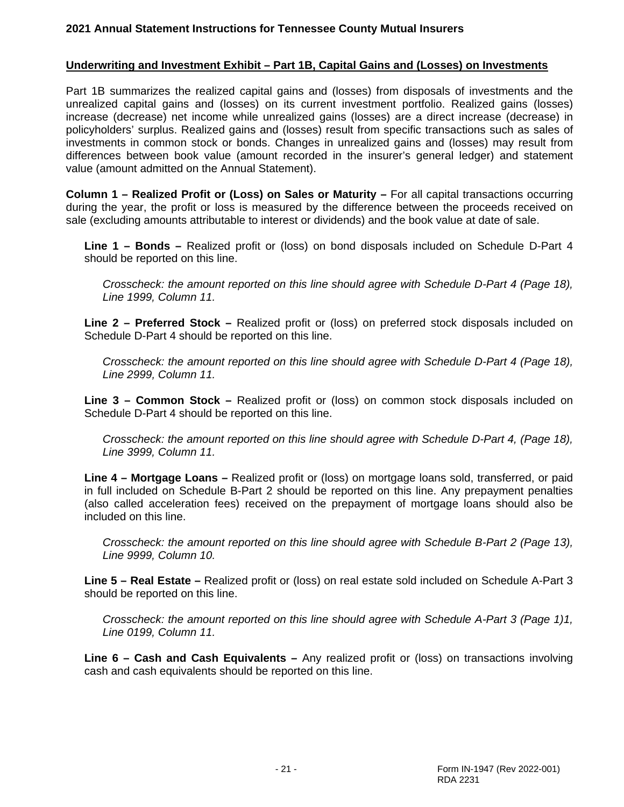#### **Underwriting and Investment Exhibit – Part 1B, Capital Gains and (Losses) on Investments**

Part 1B summarizes the realized capital gains and (losses) from disposals of investments and the unrealized capital gains and (losses) on its current investment portfolio. Realized gains (losses) increase (decrease) net income while unrealized gains (losses) are a direct increase (decrease) in policyholders' surplus. Realized gains and (losses) result from specific transactions such as sales of investments in common stock or bonds. Changes in unrealized gains and (losses) may result from differences between book value (amount recorded in the insurer's general ledger) and statement value (amount admitted on the Annual Statement).

**Column 1 – Realized Profit or (Loss) on Sales or Maturity –** For all capital transactions occurring during the year, the profit or loss is measured by the difference between the proceeds received on sale (excluding amounts attributable to interest or dividends) and the book value at date of sale.

**Line 1 – Bonds –** Realized profit or (loss) on bond disposals included on Schedule D-Part 4 should be reported on this line.

*Crosscheck: the amount reported on this line should agree with Schedule D-Part 4 (Page 18), Line 1999, Column 11.*

**Line 2 – Preferred Stock –** Realized profit or (loss) on preferred stock disposals included on Schedule D-Part 4 should be reported on this line.

*Crosscheck: the amount reported on this line should agree with Schedule D-Part 4 (Page 18), Line 2999, Column 11.*

**Line 3 – Common Stock –** Realized profit or (loss) on common stock disposals included on Schedule D-Part 4 should be reported on this line.

*Crosscheck: the amount reported on this line should agree with Schedule D-Part 4, (Page 18), Line 3999, Column 11.*

**Line 4 – Mortgage Loans –** Realized profit or (loss) on mortgage loans sold, transferred, or paid in full included on Schedule B-Part 2 should be reported on this line. Any prepayment penalties (also called acceleration fees) received on the prepayment of mortgage loans should also be included on this line.

*Crosscheck: the amount reported on this line should agree with Schedule B-Part 2 (Page 13), Line 9999, Column 10.*

**Line 5 – Real Estate –** Realized profit or (loss) on real estate sold included on Schedule A-Part 3 should be reported on this line.

*Crosscheck: the amount reported on this line should agree with Schedule A-Part 3 (Page 1)1, Line 0199, Column 11.*

**Line 6 – Cash and Cash Equivalents –** Any realized profit or (loss) on transactions involving cash and cash equivalents should be reported on this line.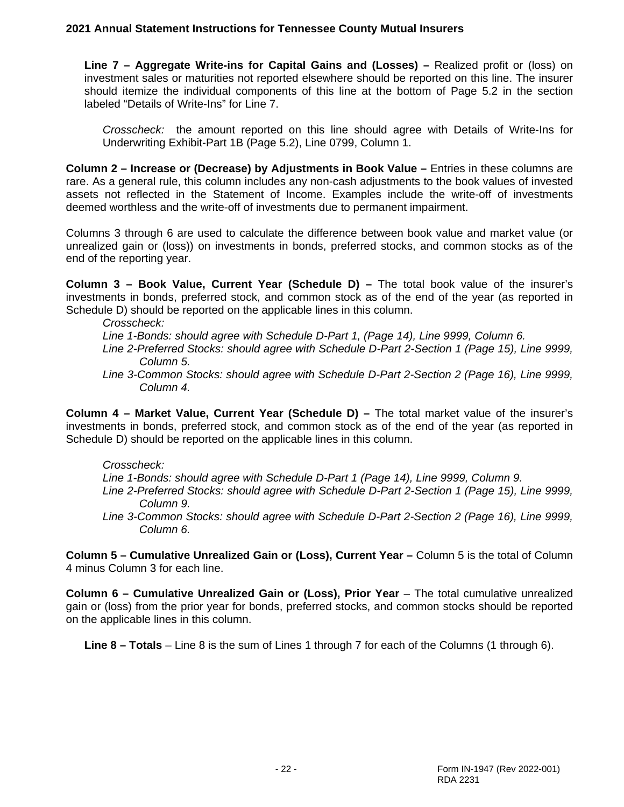**Line 7 – Aggregate Write-ins for Capital Gains and (Losses) –** Realized profit or (loss) on investment sales or maturities not reported elsewhere should be reported on this line. The insurer should itemize the individual components of this line at the bottom of Page 5.2 in the section labeled "Details of Write-Ins" for Line 7.

*Crosscheck:* the amount reported on this line should agree with Details of Write-Ins for Underwriting Exhibit-Part 1B (Page 5.2), Line 0799, Column 1.

**Column 2 – Increase or (Decrease) by Adjustments in Book Value –** Entries in these columns are rare. As a general rule, this column includes any non-cash adjustments to the book values of invested assets not reflected in the Statement of Income. Examples include the write-off of investments deemed worthless and the write-off of investments due to permanent impairment.

Columns 3 through 6 are used to calculate the difference between book value and market value (or unrealized gain or (loss)) on investments in bonds, preferred stocks, and common stocks as of the end of the reporting year.

**Column 3 – Book Value, Current Year (Schedule D) –** The total book value of the insurer's investments in bonds, preferred stock, and common stock as of the end of the year (as reported in Schedule D) should be reported on the applicable lines in this column.

*Crosscheck:*

*Line 1-Bonds: should agree with Schedule D-Part 1, (Page 14), Line 9999, Column 6.*

- *Line 2-Preferred Stocks: should agree with Schedule D-Part 2-Section 1 (Page 15), Line 9999, Column 5.*
- *Line 3-Common Stocks: should agree with Schedule D-Part 2-Section 2 (Page 16), Line 9999, Column 4.*

**Column 4 – Market Value, Current Year (Schedule D) –** The total market value of the insurer's investments in bonds, preferred stock, and common stock as of the end of the year (as reported in Schedule D) should be reported on the applicable lines in this column.

#### *Crosscheck:*

 *Line 1-Bonds: should agree with Schedule D-Part 1 (Page 14), Line 9999, Column 9.*

- *Line 2-Preferred Stocks: should agree with Schedule D-Part 2-Section 1 (Page 15), Line 9999, Column 9.*
- *Line 3-Common Stocks: should agree with Schedule D-Part 2-Section 2 (Page 16), Line 9999, Column 6.*

**Column 5 – Cumulative Unrealized Gain or (Loss), Current Year –** Column 5 is the total of Column 4 minus Column 3 for each line.

**Column 6 – Cumulative Unrealized Gain or (Loss), Prior Year – The total cumulative unrealized** gain or (loss) from the prior year for bonds, preferred stocks, and common stocks should be reported on the applicable lines in this column.

**Line 8 – Totals** – Line 8 is the sum of Lines 1 through 7 for each of the Columns (1 through 6).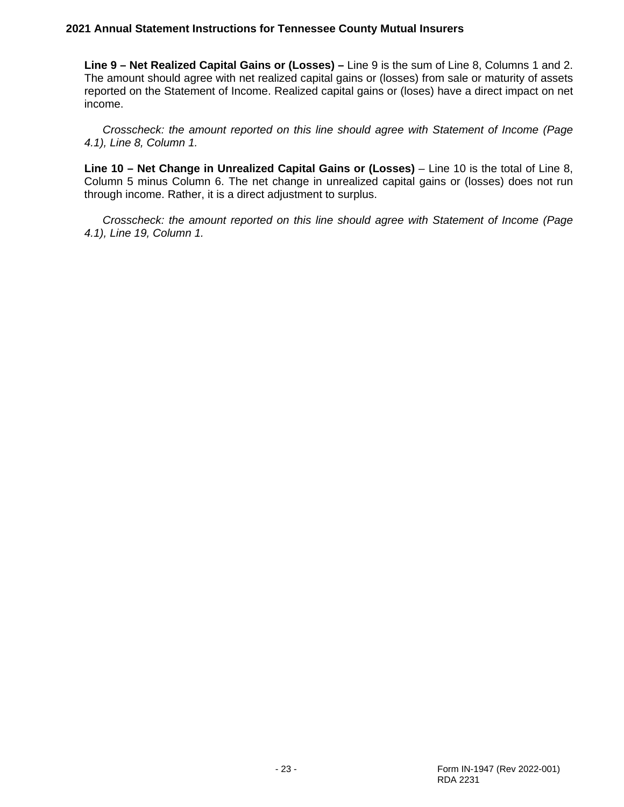**Line 9 – Net Realized Capital Gains or (Losses) –** Line 9 is the sum of Line 8, Columns 1 and 2. The amount should agree with net realized capital gains or (losses) from sale or maturity of assets reported on the Statement of Income. Realized capital gains or (loses) have a direct impact on net income.

*Crosscheck: the amount reported on this line should agree with Statement of Income (Page 4.1), Line 8, Column 1.*

**Line 10 – Net Change in Unrealized Capital Gains or (Losses)** – Line 10 is the total of Line 8, Column 5 minus Column 6. The net change in unrealized capital gains or (losses) does not run through income. Rather, it is a direct adjustment to surplus.

*Crosscheck: the amount reported on this line should agree with Statement of Income (Page 4.1), Line 19, Column 1.*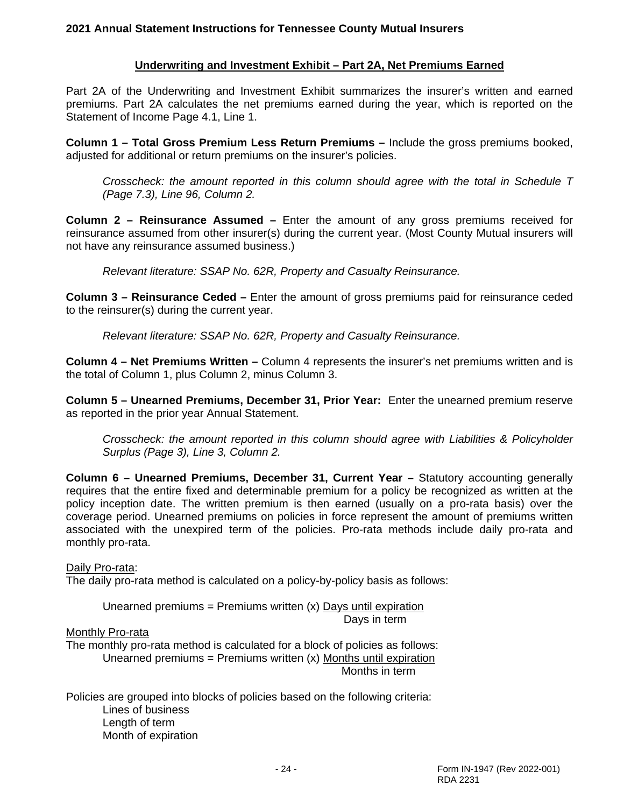### **Underwriting and Investment Exhibit – Part 2A, Net Premiums Earned**

Part 2A of the Underwriting and Investment Exhibit summarizes the insurer's written and earned premiums. Part 2A calculates the net premiums earned during the year, which is reported on the Statement of Income Page 4.1, Line 1.

**Column 1 – Total Gross Premium Less Return Premiums –** Include the gross premiums booked, adjusted for additional or return premiums on the insurer's policies.

*Crosscheck: the amount reported in this column should agree with the total in Schedule T (Page 7.3), Line 96, Column 2.*

**Column 2 – Reinsurance Assumed –** Enter the amount of any gross premiums received for reinsurance assumed from other insurer(s) during the current year. (Most County Mutual insurers will not have any reinsurance assumed business.)

*Relevant literature: SSAP No. 62R, Property and Casualty Reinsurance.*

**Column 3 – Reinsurance Ceded –** Enter the amount of gross premiums paid for reinsurance ceded to the reinsurer(s) during the current year.

*Relevant literature: SSAP No. 62R, Property and Casualty Reinsurance.*

**Column 4 – Net Premiums Written –** Column 4 represents the insurer's net premiums written and is the total of Column 1, plus Column 2, minus Column 3.

**Column 5 – Unearned Premiums, December 31, Prior Year:** Enter the unearned premium reserve as reported in the prior year Annual Statement.

*Crosscheck: the amount reported in this column should agree with Liabilities & Policyholder Surplus (Page 3), Line 3, Column 2.* 

**Column 6 – Unearned Premiums, December 31, Current Year –** Statutory accounting generally requires that the entire fixed and determinable premium for a policy be recognized as written at the policy inception date. The written premium is then earned (usually on a pro-rata basis) over the coverage period. Unearned premiums on policies in force represent the amount of premiums written associated with the unexpired term of the policies. Pro-rata methods include daily pro-rata and monthly pro-rata.

#### Daily Pro-rata:

The daily pro-rata method is calculated on a policy-by-policy basis as follows:

Unearned premiums = Premiums written  $(x)$  Days until expiration Days in term

#### Monthly Pro-rata

The monthly pro-rata method is calculated for a block of policies as follows: Unearned premiums = Premiums written  $(x)$  Months until expiration Months in term

Policies are grouped into blocks of policies based on the following criteria: Lines of business Length of term Month of expiration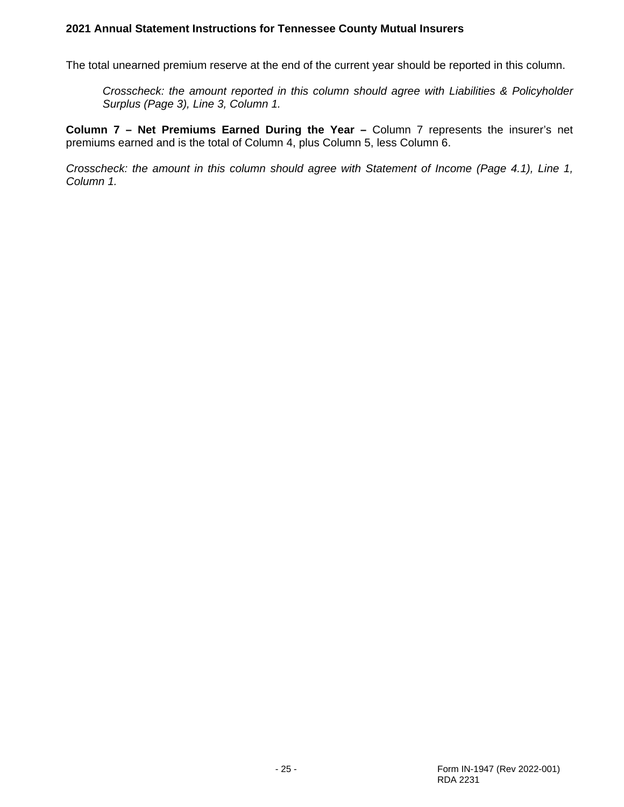The total unearned premium reserve at the end of the current year should be reported in this column.

*Crosscheck: the amount reported in this column should agree with Liabilities & Policyholder Surplus (Page 3), Line 3, Column 1.* 

**Column 7 – Net Premiums Earned During the Year –** Column 7 represents the insurer's net premiums earned and is the total of Column 4, plus Column 5, less Column 6.

*Crosscheck: the amount in this column should agree with Statement of Income (Page 4.1), Line 1, Column 1.*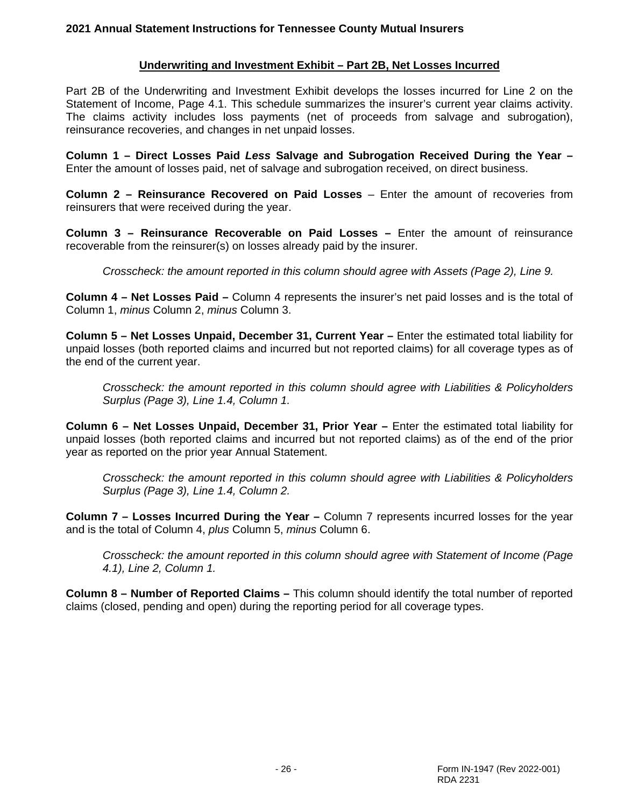## **Underwriting and Investment Exhibit – Part 2B, Net Losses Incurred**

Part 2B of the Underwriting and Investment Exhibit develops the losses incurred for Line 2 on the Statement of Income, Page 4.1. This schedule summarizes the insurer's current year claims activity. The claims activity includes loss payments (net of proceeds from salvage and subrogation), reinsurance recoveries, and changes in net unpaid losses.

**Column 1 – Direct Losses Paid** *Less* **Salvage and Subrogation Received During the Year –** Enter the amount of losses paid, net of salvage and subrogation received, on direct business.

**Column 2 – Reinsurance Recovered on Paid Losses** – Enter the amount of recoveries from reinsurers that were received during the year.

**Column 3 – Reinsurance Recoverable on Paid Losses –** Enter the amount of reinsurance recoverable from the reinsurer(s) on losses already paid by the insurer.

*Crosscheck: the amount reported in this column should agree with Assets (Page 2), Line 9.*

**Column 4 – Net Losses Paid –** Column 4 represents the insurer's net paid losses and is the total of Column 1, *minus* Column 2, *minus* Column 3.

**Column 5 – Net Losses Unpaid, December 31, Current Year –** Enter the estimated total liability for unpaid losses (both reported claims and incurred but not reported claims) for all coverage types as of the end of the current year.

*Crosscheck: the amount reported in this column should agree with Liabilities & Policyholders Surplus (Page 3), Line 1.4, Column 1.*

**Column 6 – Net Losses Unpaid, December 31, Prior Year –** Enter the estimated total liability for unpaid losses (both reported claims and incurred but not reported claims) as of the end of the prior year as reported on the prior year Annual Statement.

*Crosscheck: the amount reported in this column should agree with Liabilities & Policyholders Surplus (Page 3), Line 1.4, Column 2.*

**Column 7 – Losses Incurred During the Year –** Column 7 represents incurred losses for the year and is the total of Column 4, *plus* Column 5, *minus* Column 6.

*Crosscheck: the amount reported in this column should agree with Statement of Income (Page 4.1), Line 2, Column 1.*

**Column 8 – Number of Reported Claims –** This column should identify the total number of reported claims (closed, pending and open) during the reporting period for all coverage types.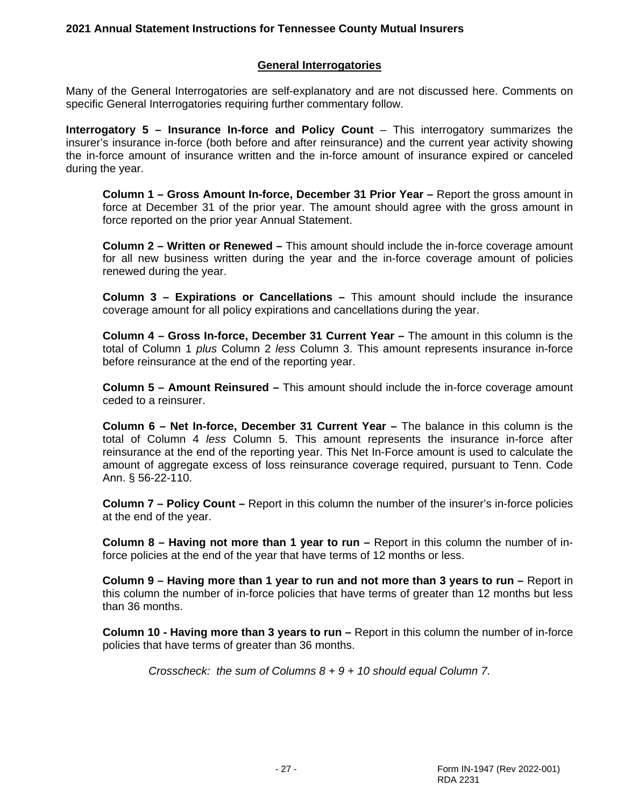#### **General Interrogatories**

Many of the General Interrogatories are self-explanatory and are not discussed here. Comments on specific General Interrogatories requiring further commentary follow.

**Interrogatory 5 – Insurance In-force and Policy Count** – This interrogatory summarizes the insurer's insurance in-force (both before and after reinsurance) and the current year activity showing the in-force amount of insurance written and the in-force amount of insurance expired or canceled during the year.

**Column 1 – Gross Amount In-force, December 31 Prior Year –** Report the gross amount in force at December 31 of the prior year. The amount should agree with the gross amount in force reported on the prior year Annual Statement.

**Column 2 – Written or Renewed –** This amount should include the in-force coverage amount for all new business written during the year and the in-force coverage amount of policies renewed during the year.

**Column 3 – Expirations or Cancellations –** This amount should include the insurance coverage amount for all policy expirations and cancellations during the year.

**Column 4 – Gross In-force, December 31 Current Year –** The amount in this column is the total of Column 1 *plus* Column 2 *less* Column 3. This amount represents insurance in-force before reinsurance at the end of the reporting year.

**Column 5 – Amount Reinsured –** This amount should include the in-force coverage amount ceded to a reinsurer.

**Column 6 – Net In-force, December 31 Current Year –** The balance in this column is the total of Column 4 *less* Column 5. This amount represents the insurance in-force after reinsurance at the end of the reporting year. This Net In-Force amount is used to calculate the amount of aggregate excess of loss reinsurance coverage required, pursuant to Tenn. Code Ann. § 56-22-110.

**Column 7 – Policy Count –** Report in this column the number of the insurer's in-force policies at the end of the year.

**Column 8 – Having not more than 1 year to run –** Report in this column the number of inforce policies at the end of the year that have terms of 12 months or less.

**Column 9 – Having more than 1 year to run and not more than 3 years to run –** Report in this column the number of in-force policies that have terms of greater than 12 months but less than 36 months.

**Column 10 - Having more than 3 years to run –** Report in this column the number of in-force policies that have terms of greater than 36 months.

*Crosscheck: the sum of Columns 8 + 9 + 10 should equal Column 7.*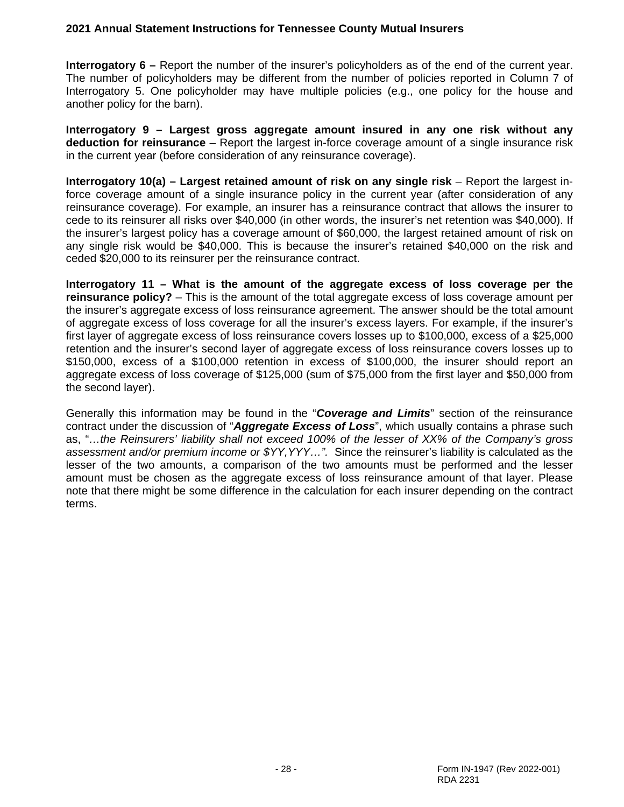**Interrogatory 6 –** Report the number of the insurer's policyholders as of the end of the current year. The number of policyholders may be different from the number of policies reported in Column 7 of Interrogatory 5. One policyholder may have multiple policies (e.g., one policy for the house and another policy for the barn).

**Interrogatory 9 – Largest gross aggregate amount insured in any one risk without any deduction for reinsurance** – Report the largest in-force coverage amount of a single insurance risk in the current year (before consideration of any reinsurance coverage).

**Interrogatory 10(a) – Largest retained amount of risk on any single risk** – Report the largest inforce coverage amount of a single insurance policy in the current year (after consideration of any reinsurance coverage). For example, an insurer has a reinsurance contract that allows the insurer to cede to its reinsurer all risks over \$40,000 (in other words, the insurer's net retention was \$40,000). If the insurer's largest policy has a coverage amount of \$60,000, the largest retained amount of risk on any single risk would be \$40,000. This is because the insurer's retained \$40,000 on the risk and ceded \$20,000 to its reinsurer per the reinsurance contract.

**Interrogatory 11 – What is the amount of the aggregate excess of loss coverage per the reinsurance policy?** – This is the amount of the total aggregate excess of loss coverage amount per the insurer's aggregate excess of loss reinsurance agreement. The answer should be the total amount of aggregate excess of loss coverage for all the insurer's excess layers. For example, if the insurer's first layer of aggregate excess of loss reinsurance covers losses up to \$100,000, excess of a \$25,000 retention and the insurer's second layer of aggregate excess of loss reinsurance covers losses up to \$150,000, excess of a \$100,000 retention in excess of \$100,000, the insurer should report an aggregate excess of loss coverage of \$125,000 (sum of \$75,000 from the first layer and \$50,000 from the second layer).

Generally this information may be found in the "*Coverage and Limits*" section of the reinsurance contract under the discussion of "*Aggregate Excess of Loss*", which usually contains a phrase such as, "*…the Reinsurers' liability shall not exceed 100% of the lesser of XX% of the Company's gross assessment and/or premium income or \$YY,YYY…".* Since the reinsurer's liability is calculated as the lesser of the two amounts, a comparison of the two amounts must be performed and the lesser amount must be chosen as the aggregate excess of loss reinsurance amount of that layer. Please note that there might be some difference in the calculation for each insurer depending on the contract terms.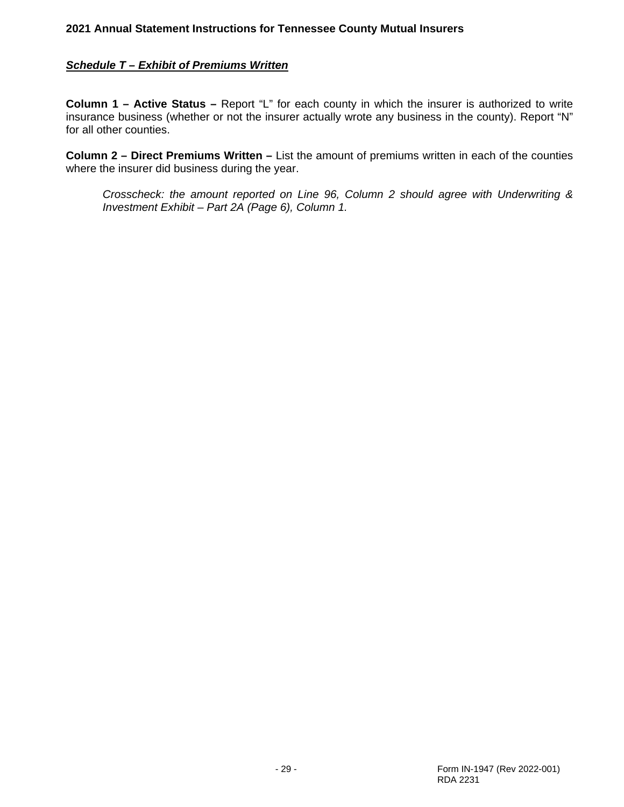### *Schedule T – Exhibit of Premiums Written*

**Column 1 – Active Status –** Report "L" for each county in which the insurer is authorized to write insurance business (whether or not the insurer actually wrote any business in the county). Report "N" for all other counties.

**Column 2 – Direct Premiums Written –** List the amount of premiums written in each of the counties where the insurer did business during the year.

*Crosscheck: the amount reported on Line 96, Column 2 should agree with Underwriting & Investment Exhibit – Part 2A (Page 6), Column 1.*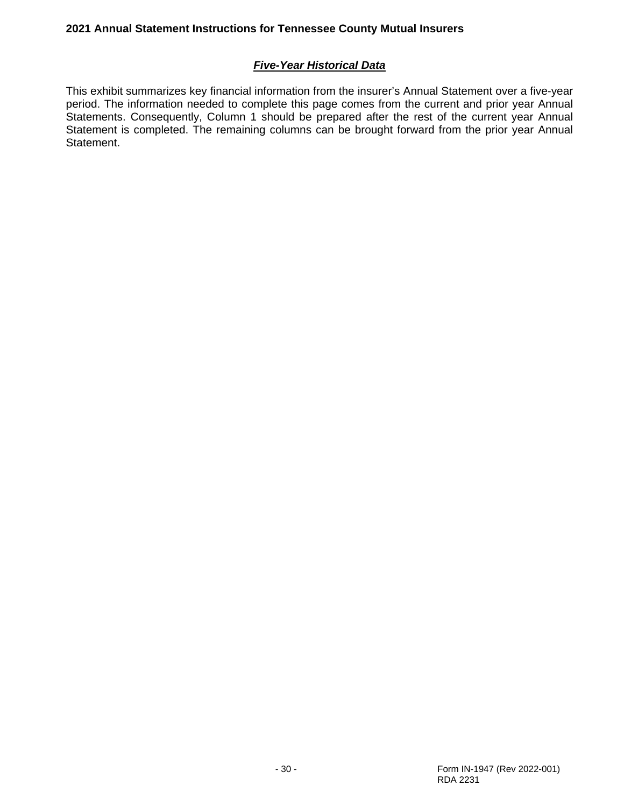# *Five-Year Historical Data*

This exhibit summarizes key financial information from the insurer's Annual Statement over a five-year period. The information needed to complete this page comes from the current and prior year Annual Statements. Consequently, Column 1 should be prepared after the rest of the current year Annual Statement is completed. The remaining columns can be brought forward from the prior year Annual Statement.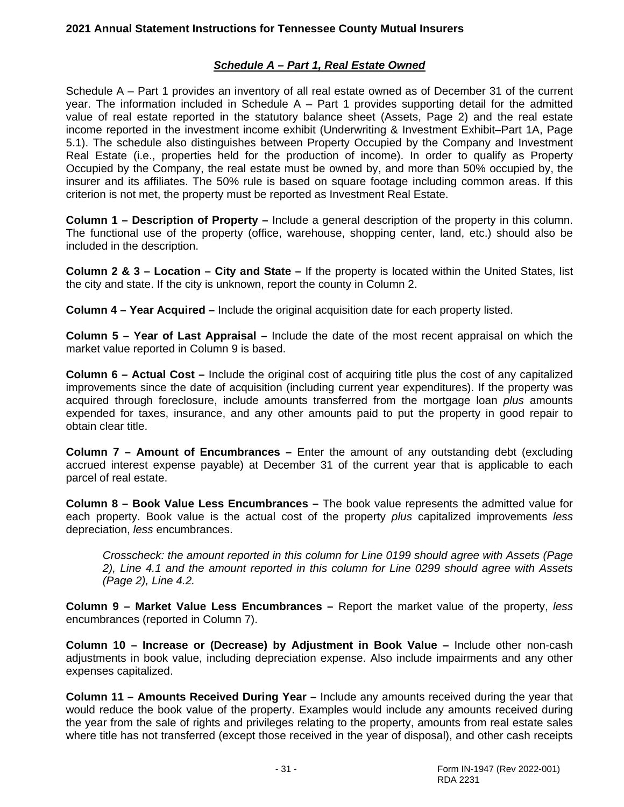# *Schedule A – Part 1, Real Estate Owned*

Schedule A – Part 1 provides an inventory of all real estate owned as of December 31 of the current year. The information included in Schedule  $A - Part 1$  provides supporting detail for the admitted value of real estate reported in the statutory balance sheet (Assets, Page 2) and the real estate income reported in the investment income exhibit (Underwriting & Investment Exhibit–Part 1A, Page 5.1). The schedule also distinguishes between Property Occupied by the Company and Investment Real Estate (i.e., properties held for the production of income). In order to qualify as Property Occupied by the Company, the real estate must be owned by, and more than 50% occupied by, the insurer and its affiliates. The 50% rule is based on square footage including common areas. If this criterion is not met, the property must be reported as Investment Real Estate.

**Column 1 – Description of Property –** Include a general description of the property in this column. The functional use of the property (office, warehouse, shopping center, land, etc.) should also be included in the description.

**Column 2 & 3 – Location – City and State –** If the property is located within the United States, list the city and state. If the city is unknown, report the county in Column 2.

**Column 4 – Year Acquired –** Include the original acquisition date for each property listed.

**Column 5 – Year of Last Appraisal –** Include the date of the most recent appraisal on which the market value reported in Column 9 is based.

**Column 6 – Actual Cost –** Include the original cost of acquiring title plus the cost of any capitalized improvements since the date of acquisition (including current year expenditures). If the property was acquired through foreclosure, include amounts transferred from the mortgage loan *plus* amounts expended for taxes, insurance, and any other amounts paid to put the property in good repair to obtain clear title.

**Column 7 – Amount of Encumbrances –** Enter the amount of any outstanding debt (excluding accrued interest expense payable) at December 31 of the current year that is applicable to each parcel of real estate.

**Column 8 – Book Value Less Encumbrances –** The book value represents the admitted value for each property. Book value is the actual cost of the property *plus* capitalized improvements *less* depreciation, *less* encumbrances.

*Crosscheck: the amount reported in this column for Line 0199 should agree with Assets (Page 2), Line 4.1 and the amount reported in this column for Line 0299 should agree with Assets (Page 2), Line 4.2.*

**Column 9 – Market Value Less Encumbrances –** Report the market value of the property, *less* encumbrances (reported in Column 7).

**Column 10 – Increase or (Decrease) by Adjustment in Book Value –** Include other non-cash adjustments in book value, including depreciation expense. Also include impairments and any other expenses capitalized.

**Column 11 – Amounts Received During Year –** Include any amounts received during the year that would reduce the book value of the property. Examples would include any amounts received during the year from the sale of rights and privileges relating to the property, amounts from real estate sales where title has not transferred (except those received in the year of disposal), and other cash receipts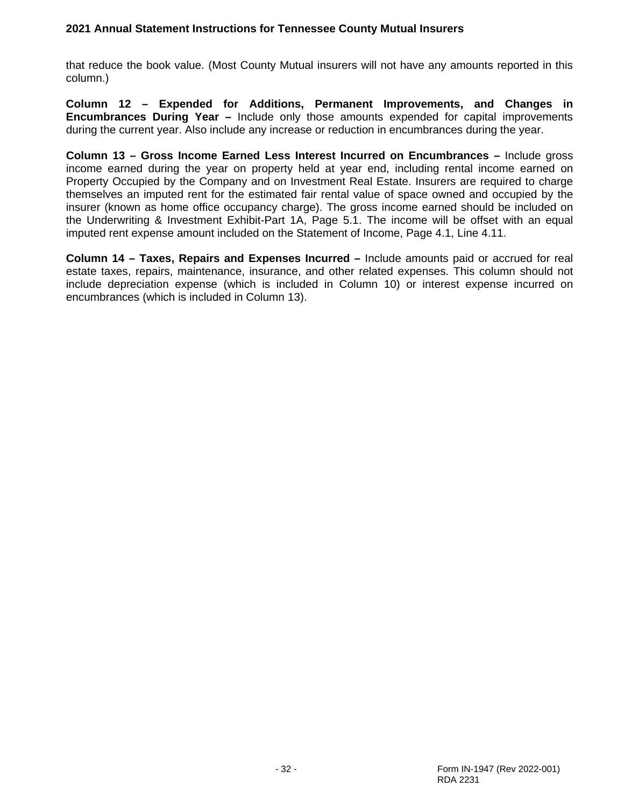that reduce the book value. (Most County Mutual insurers will not have any amounts reported in this column.)

**Column 12 – Expended for Additions, Permanent Improvements, and Changes in Encumbrances During Year –** Include only those amounts expended for capital improvements during the current year. Also include any increase or reduction in encumbrances during the year.

**Column 13 – Gross Income Earned Less Interest Incurred on Encumbrances –** Include gross income earned during the year on property held at year end, including rental income earned on Property Occupied by the Company and on Investment Real Estate. Insurers are required to charge themselves an imputed rent for the estimated fair rental value of space owned and occupied by the insurer (known as home office occupancy charge). The gross income earned should be included on the Underwriting & Investment Exhibit-Part 1A, Page 5.1. The income will be offset with an equal imputed rent expense amount included on the Statement of Income, Page 4.1, Line 4.11.

**Column 14 – Taxes, Repairs and Expenses Incurred –** Include amounts paid or accrued for real estate taxes, repairs, maintenance, insurance, and other related expenses. This column should not include depreciation expense (which is included in Column 10) or interest expense incurred on encumbrances (which is included in Column 13).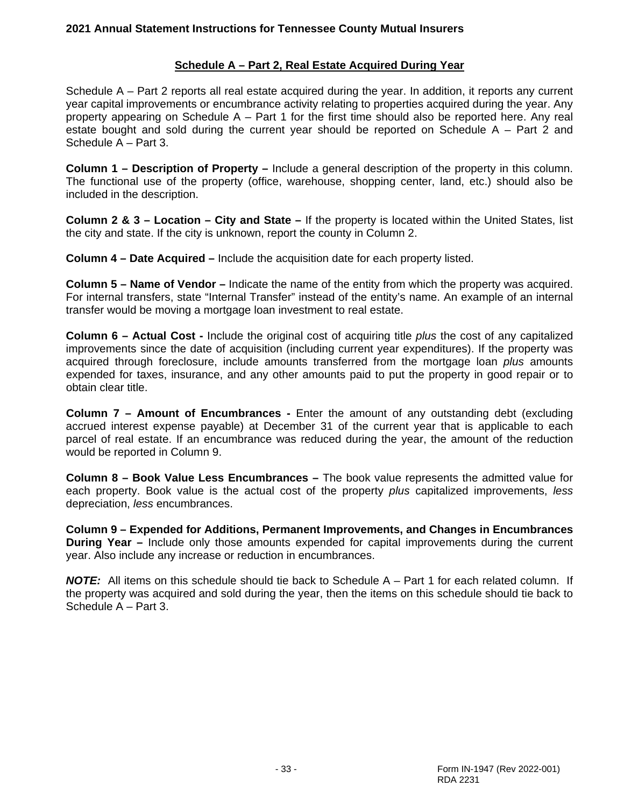# **Schedule A – Part 2, Real Estate Acquired During Year**

Schedule A – Part 2 reports all real estate acquired during the year. In addition, it reports any current year capital improvements or encumbrance activity relating to properties acquired during the year. Any property appearing on Schedule A – Part 1 for the first time should also be reported here. Any real estate bought and sold during the current year should be reported on Schedule A – Part 2 and Schedule A – Part 3.

**Column 1 – Description of Property –** Include a general description of the property in this column. The functional use of the property (office, warehouse, shopping center, land, etc.) should also be included in the description.

**Column 2 & 3 – Location – City and State –** If the property is located within the United States, list the city and state. If the city is unknown, report the county in Column 2.

**Column 4 – Date Acquired –** Include the acquisition date for each property listed.

**Column 5 – Name of Vendor –** Indicate the name of the entity from which the property was acquired. For internal transfers, state "Internal Transfer" instead of the entity's name. An example of an internal transfer would be moving a mortgage loan investment to real estate.

**Column 6 – Actual Cost -** Include the original cost of acquiring title *plus* the cost of any capitalized improvements since the date of acquisition (including current year expenditures). If the property was acquired through foreclosure, include amounts transferred from the mortgage loan *plus* amounts expended for taxes, insurance, and any other amounts paid to put the property in good repair or to obtain clear title.

**Column 7 – Amount of Encumbrances -** Enter the amount of any outstanding debt (excluding accrued interest expense payable) at December 31 of the current year that is applicable to each parcel of real estate. If an encumbrance was reduced during the year, the amount of the reduction would be reported in Column 9.

**Column 8 – Book Value Less Encumbrances –** The book value represents the admitted value for each property. Book value is the actual cost of the property *plus* capitalized improvements, *less* depreciation, *less* encumbrances.

**Column 9 – Expended for Additions, Permanent Improvements, and Changes in Encumbrances During Year –** Include only those amounts expended for capital improvements during the current year. Also include any increase or reduction in encumbrances.

*NOTE:* All items on this schedule should tie back to Schedule A – Part 1 for each related column. If the property was acquired and sold during the year, then the items on this schedule should tie back to Schedule A – Part 3.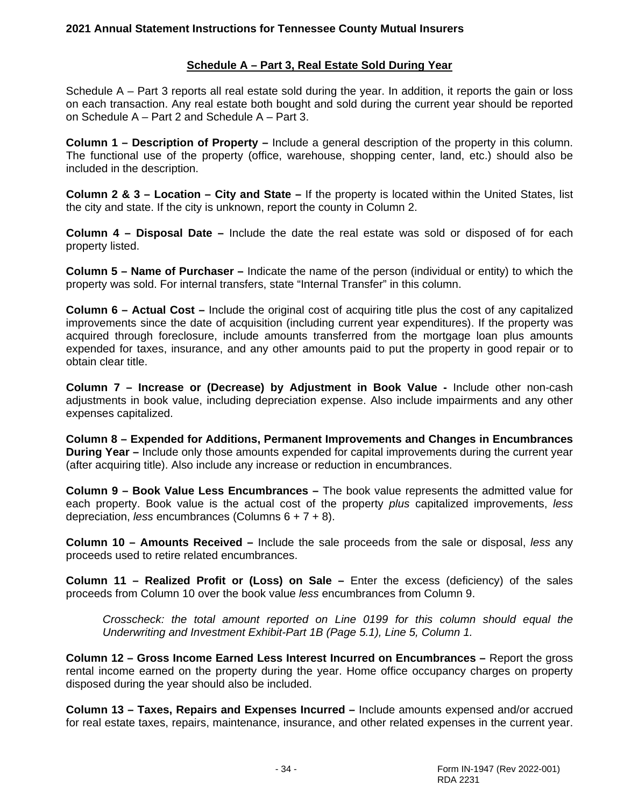### **Schedule A – Part 3, Real Estate Sold During Year**

Schedule A – Part 3 reports all real estate sold during the year. In addition, it reports the gain or loss on each transaction. Any real estate both bought and sold during the current year should be reported on Schedule A – Part 2 and Schedule A – Part 3.

**Column 1 – Description of Property –** Include a general description of the property in this column. The functional use of the property (office, warehouse, shopping center, land, etc.) should also be included in the description.

**Column 2 & 3 – Location – City and State –** If the property is located within the United States, list the city and state. If the city is unknown, report the county in Column 2.

**Column 4 – Disposal Date –** Include the date the real estate was sold or disposed of for each property listed.

**Column 5 – Name of Purchaser –** Indicate the name of the person (individual or entity) to which the property was sold. For internal transfers, state "Internal Transfer" in this column.

**Column 6 – Actual Cost –** Include the original cost of acquiring title plus the cost of any capitalized improvements since the date of acquisition (including current year expenditures). If the property was acquired through foreclosure, include amounts transferred from the mortgage loan plus amounts expended for taxes, insurance, and any other amounts paid to put the property in good repair or to obtain clear title.

**Column 7 – Increase or (Decrease) by Adjustment in Book Value -** Include other non-cash adjustments in book value, including depreciation expense. Also include impairments and any other expenses capitalized.

**Column 8 – Expended for Additions, Permanent Improvements and Changes in Encumbrances During Year –** Include only those amounts expended for capital improvements during the current year (after acquiring title). Also include any increase or reduction in encumbrances.

**Column 9 – Book Value Less Encumbrances –** The book value represents the admitted value for each property. Book value is the actual cost of the property *plus* capitalized improvements, *less* depreciation, *less* encumbrances (Columns 6 + 7 + 8).

**Column 10 – Amounts Received –** Include the sale proceeds from the sale or disposal, *less* any proceeds used to retire related encumbrances.

**Column 11 – Realized Profit or (Loss) on Sale –** Enter the excess (deficiency) of the sales proceeds from Column 10 over the book value *less* encumbrances from Column 9.

*Crosscheck: the total amount reported on Line 0199 for this column should equal the Underwriting and Investment Exhibit-Part 1B (Page 5.1), Line 5, Column 1.*

**Column 12 – Gross Income Earned Less Interest Incurred on Encumbrances –** Report the gross rental income earned on the property during the year. Home office occupancy charges on property disposed during the year should also be included.

**Column 13 – Taxes, Repairs and Expenses Incurred –** Include amounts expensed and/or accrued for real estate taxes, repairs, maintenance, insurance, and other related expenses in the current year.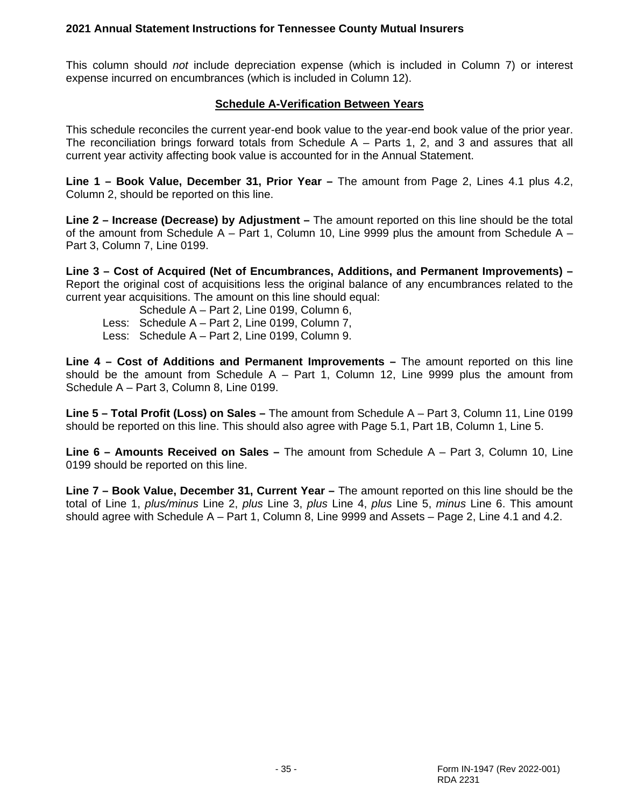This column should *not* include depreciation expense (which is included in Column 7) or interest expense incurred on encumbrances (which is included in Column 12).

# **Schedule A-Verification Between Years**

This schedule reconciles the current year-end book value to the year-end book value of the prior year. The reconciliation brings forward totals from Schedule  $A -$  Parts 1, 2, and 3 and assures that all current year activity affecting book value is accounted for in the Annual Statement.

**Line 1 – Book Value, December 31, Prior Year –** The amount from Page 2, Lines 4.1 plus 4.2, Column 2, should be reported on this line.

**Line 2 – Increase (Decrease) by Adjustment –** The amount reported on this line should be the total of the amount from Schedule  $A - Part 1$ , Column 10, Line 9999 plus the amount from Schedule  $A -$ Part 3, Column 7, Line 0199.

**Line 3 – Cost of Acquired (Net of Encumbrances, Additions, and Permanent Improvements) –** Report the original cost of acquisitions less the original balance of any encumbrances related to the current year acquisitions. The amount on this line should equal:

- Schedule A Part 2, Line 0199, Column 6,
- Less: Schedule A Part 2, Line 0199, Column 7,
- Less: Schedule A Part 2, Line 0199, Column 9.

**Line 4 – Cost of Additions and Permanent Improvements –** The amount reported on this line should be the amount from Schedule  $A - Part 1$ , Column 12, Line 9999 plus the amount from Schedule A – Part 3, Column 8, Line 0199.

**Line 5 – Total Profit (Loss) on Sales –** The amount from Schedule A – Part 3, Column 11, Line 0199 should be reported on this line. This should also agree with Page 5.1, Part 1B, Column 1, Line 5.

**Line 6 – Amounts Received on Sales –** The amount from Schedule A – Part 3, Column 10, Line 0199 should be reported on this line.

**Line 7 – Book Value, December 31, Current Year –** The amount reported on this line should be the total of Line 1, *plus/minus* Line 2, *plus* Line 3, *plus* Line 4, *plus* Line 5, *minus* Line 6. This amount should agree with Schedule A – Part 1, Column 8, Line 9999 and Assets – Page 2, Line 4.1 and 4.2.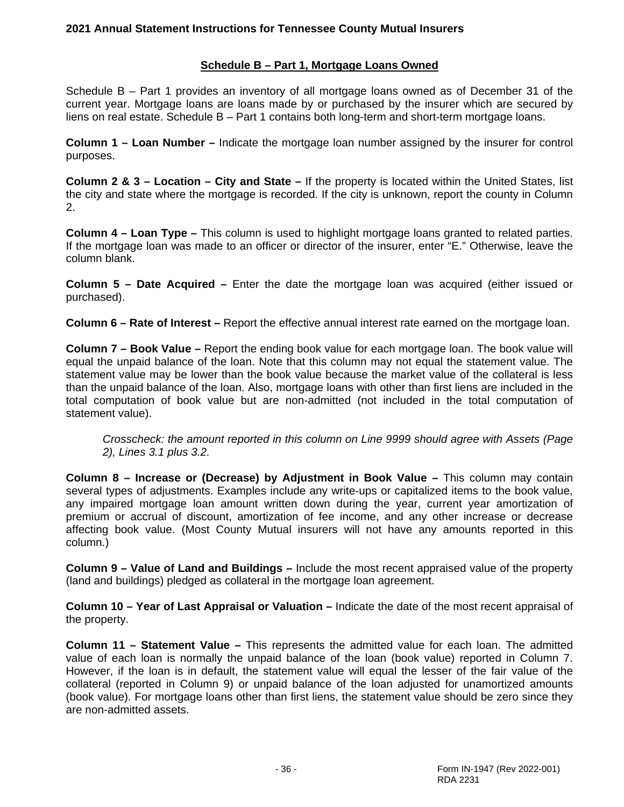# **Schedule B – Part 1, Mortgage Loans Owned**

Schedule B – Part 1 provides an inventory of all mortgage loans owned as of December 31 of the current year. Mortgage loans are loans made by or purchased by the insurer which are secured by liens on real estate. Schedule B – Part 1 contains both long-term and short-term mortgage loans.

**Column 1 – Loan Number –** Indicate the mortgage loan number assigned by the insurer for control purposes.

**Column 2 & 3 – Location – City and State –** If the property is located within the United States, list the city and state where the mortgage is recorded. If the city is unknown, report the county in Column 2.

**Column 4 – Loan Type –** This column is used to highlight mortgage loans granted to related parties. If the mortgage loan was made to an officer or director of the insurer, enter "E." Otherwise, leave the column blank.

**Column 5 – Date Acquired –** Enter the date the mortgage loan was acquired (either issued or purchased).

**Column 6 – Rate of Interest –** Report the effective annual interest rate earned on the mortgage loan.

**Column 7 – Book Value –** Report the ending book value for each mortgage loan. The book value will equal the unpaid balance of the loan. Note that this column may not equal the statement value. The statement value may be lower than the book value because the market value of the collateral is less than the unpaid balance of the loan. Also, mortgage loans with other than first liens are included in the total computation of book value but are non-admitted (not included in the total computation of statement value).

*Crosscheck: the amount reported in this column on Line 9999 should agree with Assets (Page 2), Lines 3.1 plus 3.2.*

**Column 8 – Increase or (Decrease) by Adjustment in Book Value –** This column may contain several types of adjustments. Examples include any write-ups or capitalized items to the book value, any impaired mortgage loan amount written down during the year, current year amortization of premium or accrual of discount, amortization of fee income, and any other increase or decrease affecting book value. (Most County Mutual insurers will not have any amounts reported in this column.)

**Column 9 – Value of Land and Buildings –** Include the most recent appraised value of the property (land and buildings) pledged as collateral in the mortgage loan agreement.

**Column 10 – Year of Last Appraisal or Valuation –** Indicate the date of the most recent appraisal of the property.

**Column 11 – Statement Value –** This represents the admitted value for each loan. The admitted value of each loan is normally the unpaid balance of the loan (book value) reported in Column 7. However, if the loan is in default, the statement value will equal the lesser of the fair value of the collateral (reported in Column 9) or unpaid balance of the loan adjusted for unamortized amounts (book value). For mortgage loans other than first liens, the statement value should be zero since they are non-admitted assets.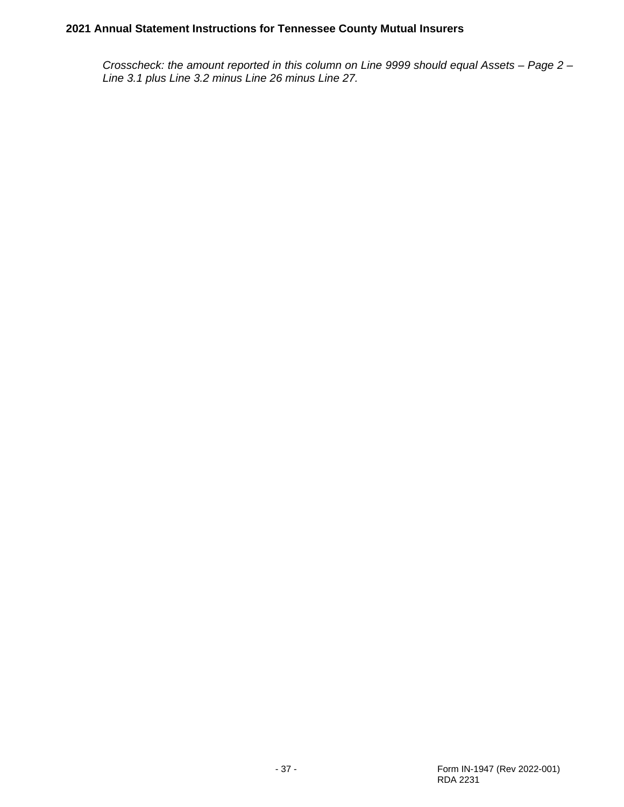*Crosscheck: the amount reported in this column on Line 9999 should equal Assets – Page 2 – Line 3.1 plus Line 3.2 minus Line 26 minus Line 27.*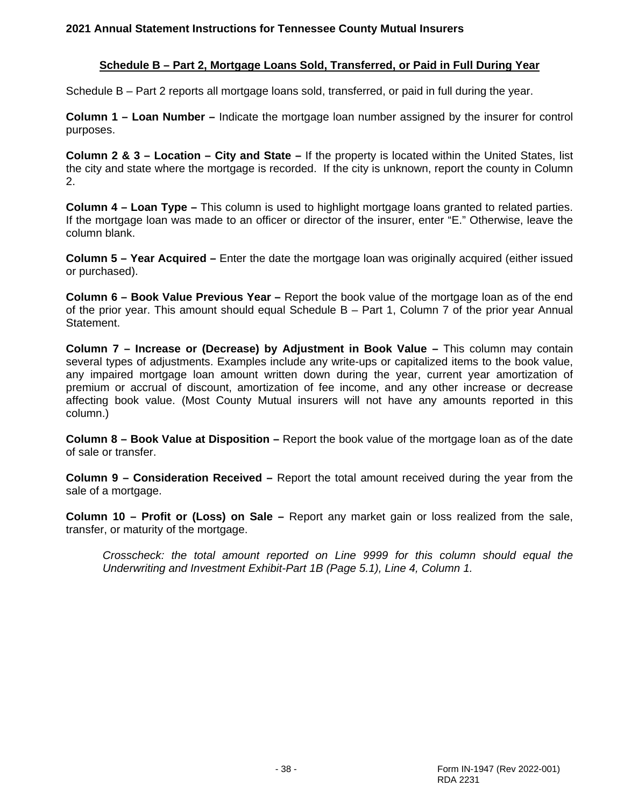#### **Schedule B – Part 2, Mortgage Loans Sold, Transferred, or Paid in Full During Year**

Schedule B – Part 2 reports all mortgage loans sold, transferred, or paid in full during the year.

**Column 1 – Loan Number –** Indicate the mortgage loan number assigned by the insurer for control purposes.

**Column 2 & 3 – Location – City and State –** If the property is located within the United States, list the city and state where the mortgage is recorded. If the city is unknown, report the county in Column 2.

**Column 4 – Loan Type –** This column is used to highlight mortgage loans granted to related parties. If the mortgage loan was made to an officer or director of the insurer, enter "E." Otherwise, leave the column blank.

**Column 5 – Year Acquired –** Enter the date the mortgage loan was originally acquired (either issued or purchased).

**Column 6 – Book Value Previous Year –** Report the book value of the mortgage loan as of the end of the prior year. This amount should equal Schedule B – Part 1, Column 7 of the prior year Annual Statement.

**Column 7 – Increase or (Decrease) by Adjustment in Book Value –** This column may contain several types of adjustments. Examples include any write-ups or capitalized items to the book value, any impaired mortgage loan amount written down during the year, current year amortization of premium or accrual of discount, amortization of fee income, and any other increase or decrease affecting book value. (Most County Mutual insurers will not have any amounts reported in this column.)

**Column 8 – Book Value at Disposition –** Report the book value of the mortgage loan as of the date of sale or transfer.

**Column 9 – Consideration Received –** Report the total amount received during the year from the sale of a mortgage.

**Column 10 – Profit or (Loss) on Sale –** Report any market gain or loss realized from the sale, transfer, or maturity of the mortgage.

*Crosscheck: the total amount reported on Line 9999 for this column should equal the Underwriting and Investment Exhibit-Part 1B (Page 5.1), Line 4, Column 1.*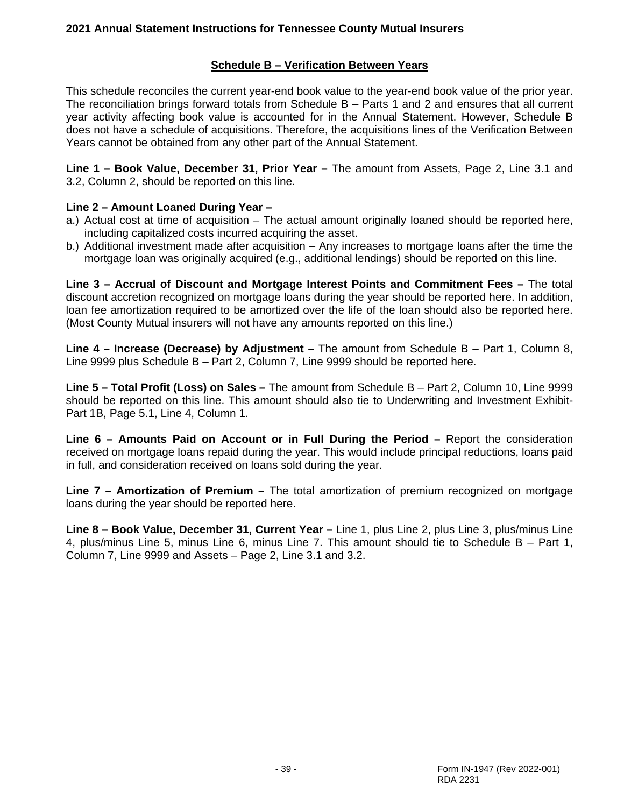## **Schedule B – Verification Between Years**

This schedule reconciles the current year-end book value to the year-end book value of the prior year. The reconciliation brings forward totals from Schedule B – Parts 1 and 2 and ensures that all current year activity affecting book value is accounted for in the Annual Statement. However, Schedule B does not have a schedule of acquisitions. Therefore, the acquisitions lines of the Verification Between Years cannot be obtained from any other part of the Annual Statement.

**Line 1 – Book Value, December 31, Prior Year –** The amount from Assets, Page 2, Line 3.1 and 3.2, Column 2, should be reported on this line.

#### **Line 2 – Amount Loaned During Year –**

- a.) Actual cost at time of acquisition The actual amount originally loaned should be reported here, including capitalized costs incurred acquiring the asset.
- b.) Additional investment made after acquisition Any increases to mortgage loans after the time the mortgage loan was originally acquired (e.g., additional lendings) should be reported on this line.

**Line 3 – Accrual of Discount and Mortgage Interest Points and Commitment Fees –** The total discount accretion recognized on mortgage loans during the year should be reported here. In addition, loan fee amortization required to be amortized over the life of the loan should also be reported here. (Most County Mutual insurers will not have any amounts reported on this line.)

**Line 4 – Increase (Decrease) by Adjustment –** The amount from Schedule B – Part 1, Column 8, Line 9999 plus Schedule B – Part 2, Column 7, Line 9999 should be reported here.

**Line 5 – Total Profit (Loss) on Sales –** The amount from Schedule B – Part 2, Column 10, Line 9999 should be reported on this line. This amount should also tie to Underwriting and Investment Exhibit-Part 1B, Page 5.1, Line 4, Column 1.

**Line 6 – Amounts Paid on Account or in Full During the Period –** Report the consideration received on mortgage loans repaid during the year. This would include principal reductions, loans paid in full, and consideration received on loans sold during the year.

**Line 7 – Amortization of Premium –** The total amortization of premium recognized on mortgage loans during the year should be reported here.

**Line 8 – Book Value, December 31, Current Year –** Line 1, plus Line 2, plus Line 3, plus/minus Line 4, plus/minus Line 5, minus Line 6, minus Line 7. This amount should tie to Schedule B – Part 1, Column 7, Line 9999 and Assets – Page 2, Line 3.1 and 3.2.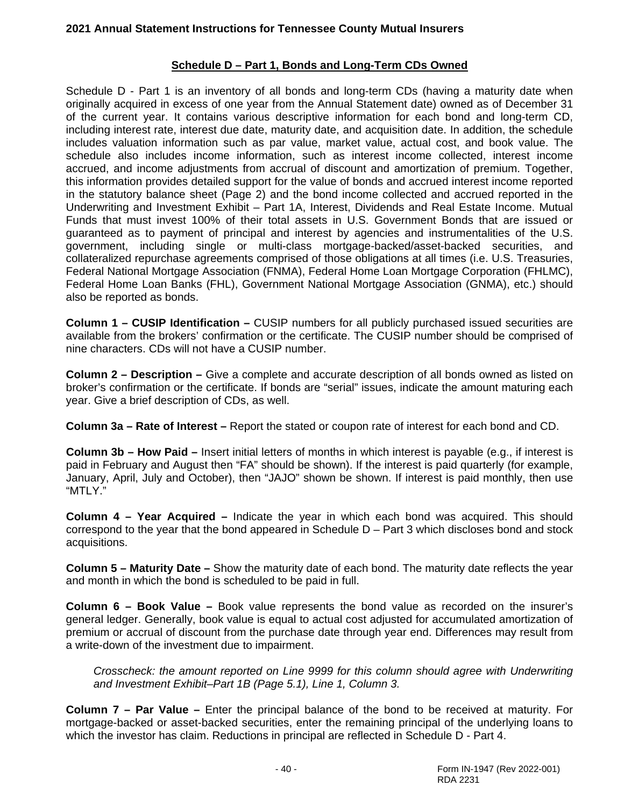# **Schedule D – Part 1, Bonds and Long-Term CDs Owned**

Schedule D - Part 1 is an inventory of all bonds and long-term CDs (having a maturity date when originally acquired in excess of one year from the Annual Statement date) owned as of December 31 of the current year. It contains various descriptive information for each bond and long-term CD, including interest rate, interest due date, maturity date, and acquisition date. In addition, the schedule includes valuation information such as par value, market value, actual cost, and book value. The schedule also includes income information, such as interest income collected, interest income accrued, and income adjustments from accrual of discount and amortization of premium. Together, this information provides detailed support for the value of bonds and accrued interest income reported in the statutory balance sheet (Page 2) and the bond income collected and accrued reported in the Underwriting and Investment Exhibit – Part 1A, Interest, Dividends and Real Estate Income. Mutual Funds that must invest 100% of their total assets in U.S. Government Bonds that are issued or guaranteed as to payment of principal and interest by agencies and instrumentalities of the U.S. government, including single or multi-class mortgage-backed/asset-backed securities, and collateralized repurchase agreements comprised of those obligations at all times (i.e. U.S. Treasuries, Federal National Mortgage Association (FNMA), Federal Home Loan Mortgage Corporation (FHLMC), Federal Home Loan Banks (FHL), Government National Mortgage Association (GNMA), etc.) should also be reported as bonds.

**Column 1 – CUSIP Identification –** CUSIP numbers for all publicly purchased issued securities are available from the brokers' confirmation or the certificate. The CUSIP number should be comprised of nine characters. CDs will not have a CUSIP number.

**Column 2 – Description –** Give a complete and accurate description of all bonds owned as listed on broker's confirmation or the certificate. If bonds are "serial" issues, indicate the amount maturing each year. Give a brief description of CDs, as well.

**Column 3a – Rate of Interest –** Report the stated or coupon rate of interest for each bond and CD.

**Column 3b – How Paid –** Insert initial letters of months in which interest is payable (e.g., if interest is paid in February and August then "FA" should be shown). If the interest is paid quarterly (for example, January, April, July and October), then "JAJO" shown be shown. If interest is paid monthly, then use "MTLY."

**Column 4 – Year Acquired –** Indicate the year in which each bond was acquired. This should correspond to the year that the bond appeared in Schedule D – Part 3 which discloses bond and stock acquisitions.

**Column 5 – Maturity Date –** Show the maturity date of each bond. The maturity date reflects the year and month in which the bond is scheduled to be paid in full.

**Column 6 – Book Value –** Book value represents the bond value as recorded on the insurer's general ledger. Generally, book value is equal to actual cost adjusted for accumulated amortization of premium or accrual of discount from the purchase date through year end. Differences may result from a write-down of the investment due to impairment.

*Crosscheck: the amount reported on Line 9999 for this column should agree with Underwriting and Investment Exhibit–Part 1B (Page 5.1), Line 1, Column 3.*

**Column 7 – Par Value –** Enter the principal balance of the bond to be received at maturity. For mortgage-backed or asset-backed securities, enter the remaining principal of the underlying loans to which the investor has claim. Reductions in principal are reflected in Schedule D - Part 4.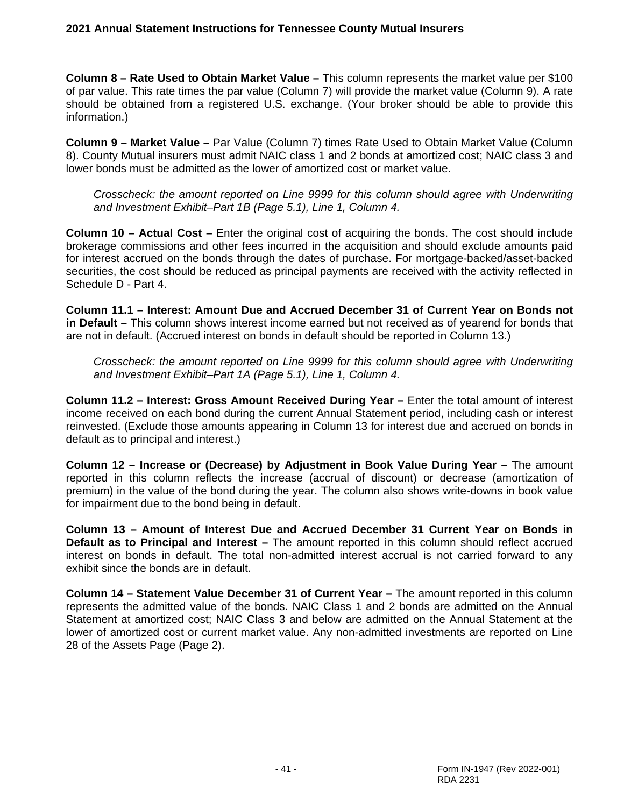**Column 8 – Rate Used to Obtain Market Value –** This column represents the market value per \$100 of par value. This rate times the par value (Column 7) will provide the market value (Column 9). A rate should be obtained from a registered U.S. exchange. (Your broker should be able to provide this information.)

**Column 9 – Market Value –** Par Value (Column 7) times Rate Used to Obtain Market Value (Column 8). County Mutual insurers must admit NAIC class 1 and 2 bonds at amortized cost; NAIC class 3 and lower bonds must be admitted as the lower of amortized cost or market value.

*Crosscheck: the amount reported on Line 9999 for this column should agree with Underwriting and Investment Exhibit–Part 1B (Page 5.1), Line 1, Column 4.*

**Column 10 – Actual Cost –** Enter the original cost of acquiring the bonds. The cost should include brokerage commissions and other fees incurred in the acquisition and should exclude amounts paid for interest accrued on the bonds through the dates of purchase. For mortgage-backed/asset-backed securities, the cost should be reduced as principal payments are received with the activity reflected in Schedule D - Part 4.

**Column 11.1 – Interest: Amount Due and Accrued December 31 of Current Year on Bonds not in Default –** This column shows interest income earned but not received as of yearend for bonds that are not in default. (Accrued interest on bonds in default should be reported in Column 13.)

*Crosscheck: the amount reported on Line 9999 for this column should agree with Underwriting and Investment Exhibit–Part 1A (Page 5.1), Line 1, Column 4.*

**Column 11.2 – Interest: Gross Amount Received During Year –** Enter the total amount of interest income received on each bond during the current Annual Statement period, including cash or interest reinvested. (Exclude those amounts appearing in Column 13 for interest due and accrued on bonds in default as to principal and interest.)

**Column 12 – Increase or (Decrease) by Adjustment in Book Value During Year –** The amount reported in this column reflects the increase (accrual of discount) or decrease (amortization of premium) in the value of the bond during the year. The column also shows write-downs in book value for impairment due to the bond being in default.

**Column 13 – Amount of Interest Due and Accrued December 31 Current Year on Bonds in Default as to Principal and Interest –** The amount reported in this column should reflect accrued interest on bonds in default. The total non-admitted interest accrual is not carried forward to any exhibit since the bonds are in default.

**Column 14 – Statement Value December 31 of Current Year –** The amount reported in this column represents the admitted value of the bonds. NAIC Class 1 and 2 bonds are admitted on the Annual Statement at amortized cost; NAIC Class 3 and below are admitted on the Annual Statement at the lower of amortized cost or current market value. Any non-admitted investments are reported on Line 28 of the Assets Page (Page 2).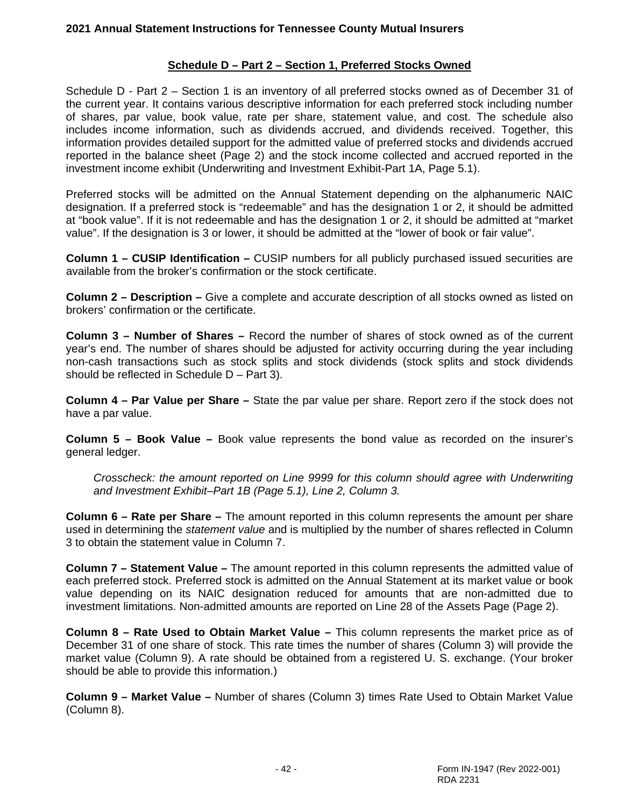# **Schedule D – Part 2 – Section 1, Preferred Stocks Owned**

Schedule D - Part 2 – Section 1 is an inventory of all preferred stocks owned as of December 31 of the current year. It contains various descriptive information for each preferred stock including number of shares, par value, book value, rate per share, statement value, and cost. The schedule also includes income information, such as dividends accrued, and dividends received. Together, this information provides detailed support for the admitted value of preferred stocks and dividends accrued reported in the balance sheet (Page 2) and the stock income collected and accrued reported in the investment income exhibit (Underwriting and Investment Exhibit-Part 1A, Page 5.1).

Preferred stocks will be admitted on the Annual Statement depending on the alphanumeric NAIC designation. If a preferred stock is "redeemable" and has the designation 1 or 2, it should be admitted at "book value". If it is not redeemable and has the designation 1 or 2, it should be admitted at "market value". If the designation is 3 or lower, it should be admitted at the "lower of book or fair value".

**Column 1 – CUSIP Identification –** CUSIP numbers for all publicly purchased issued securities are available from the broker's confirmation or the stock certificate.

**Column 2 – Description –** Give a complete and accurate description of all stocks owned as listed on brokers' confirmation or the certificate.

**Column 3 – Number of Shares –** Record the number of shares of stock owned as of the current year's end. The number of shares should be adjusted for activity occurring during the year including non-cash transactions such as stock splits and stock dividends (stock splits and stock dividends should be reflected in Schedule D – Part 3).

**Column 4 – Par Value per Share –** State the par value per share. Report zero if the stock does not have a par value.

**Column 5 – Book Value –** Book value represents the bond value as recorded on the insurer's general ledger.

*Crosscheck: the amount reported on Line 9999 for this column should agree with Underwriting and Investment Exhibit–Part 1B (Page 5.1), Line 2, Column 3.*

**Column 6 – Rate per Share –** The amount reported in this column represents the amount per share used in determining the *statement value* and is multiplied by the number of shares reflected in Column 3 to obtain the statement value in Column 7.

**Column 7 – Statement Value –** The amount reported in this column represents the admitted value of each preferred stock. Preferred stock is admitted on the Annual Statement at its market value or book value depending on its NAIC designation reduced for amounts that are non-admitted due to investment limitations. Non-admitted amounts are reported on Line 28 of the Assets Page (Page 2).

**Column 8 – Rate Used to Obtain Market Value –** This column represents the market price as of December 31 of one share of stock. This rate times the number of shares (Column 3) will provide the market value (Column 9). A rate should be obtained from a registered U. S. exchange. (Your broker should be able to provide this information.)

**Column 9 – Market Value –** Number of shares (Column 3) times Rate Used to Obtain Market Value (Column 8).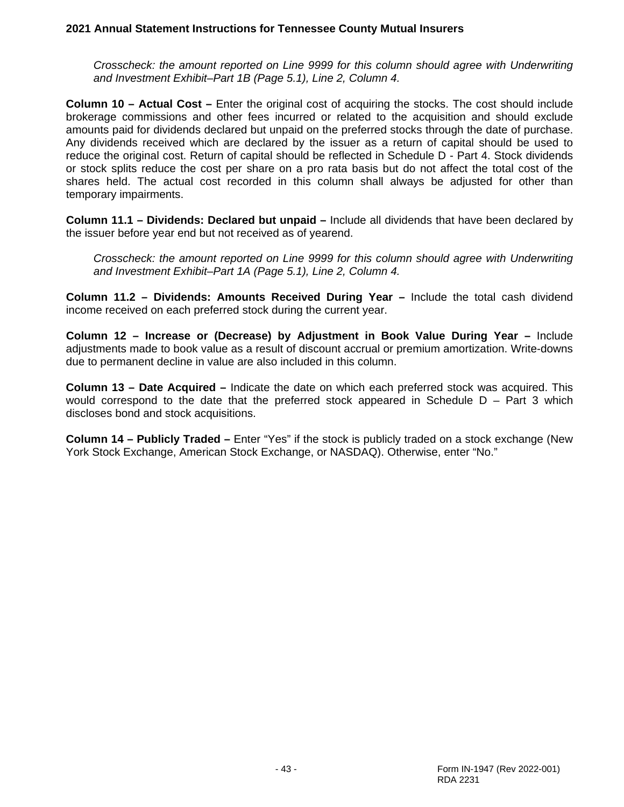*Crosscheck: the amount reported on Line 9999 for this column should agree with Underwriting and Investment Exhibit–Part 1B (Page 5.1), Line 2, Column 4.*

**Column 10 – Actual Cost –** Enter the original cost of acquiring the stocks. The cost should include brokerage commissions and other fees incurred or related to the acquisition and should exclude amounts paid for dividends declared but unpaid on the preferred stocks through the date of purchase. Any dividends received which are declared by the issuer as a return of capital should be used to reduce the original cost. Return of capital should be reflected in Schedule D - Part 4. Stock dividends or stock splits reduce the cost per share on a pro rata basis but do not affect the total cost of the shares held. The actual cost recorded in this column shall always be adjusted for other than temporary impairments.

**Column 11.1 – Dividends: Declared but unpaid –** Include all dividends that have been declared by the issuer before year end but not received as of yearend.

*Crosscheck: the amount reported on Line 9999 for this column should agree with Underwriting and Investment Exhibit–Part 1A (Page 5.1), Line 2, Column 4.*

**Column 11.2 – Dividends: Amounts Received During Year –** Include the total cash dividend income received on each preferred stock during the current year.

**Column 12 – Increase or (Decrease) by Adjustment in Book Value During Year –** Include adjustments made to book value as a result of discount accrual or premium amortization. Write-downs due to permanent decline in value are also included in this column.

**Column 13 – Date Acquired –** Indicate the date on which each preferred stock was acquired. This would correspond to the date that the preferred stock appeared in Schedule  $D - Part 3$  which discloses bond and stock acquisitions.

**Column 14 – Publicly Traded –** Enter "Yes" if the stock is publicly traded on a stock exchange (New York Stock Exchange, American Stock Exchange, or NASDAQ). Otherwise, enter "No."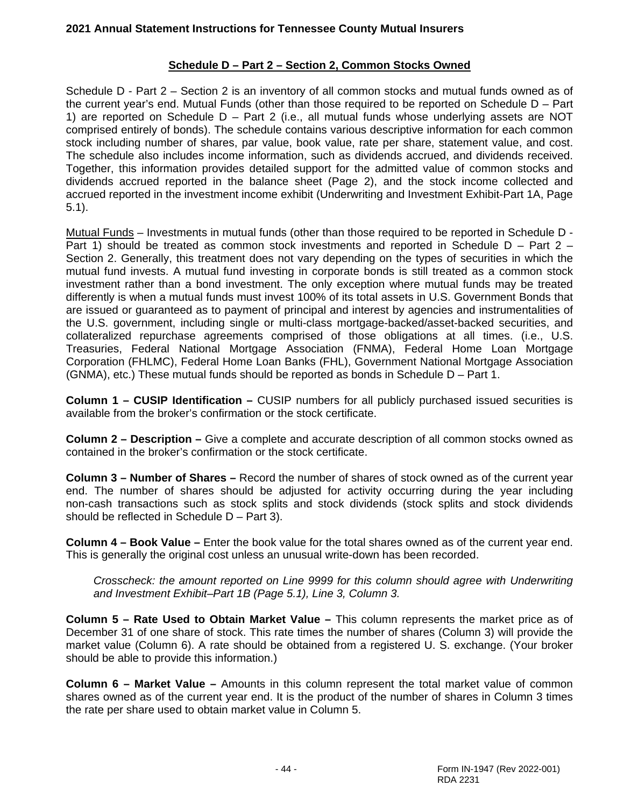# **Schedule D – Part 2 – Section 2, Common Stocks Owned**

Schedule D - Part 2 – Section 2 is an inventory of all common stocks and mutual funds owned as of the current year's end. Mutual Funds (other than those required to be reported on Schedule D – Part 1) are reported on Schedule D – Part 2 (i.e., all mutual funds whose underlying assets are NOT comprised entirely of bonds). The schedule contains various descriptive information for each common stock including number of shares, par value, book value, rate per share, statement value, and cost. The schedule also includes income information, such as dividends accrued, and dividends received. Together, this information provides detailed support for the admitted value of common stocks and dividends accrued reported in the balance sheet (Page 2), and the stock income collected and accrued reported in the investment income exhibit (Underwriting and Investment Exhibit-Part 1A, Page 5.1).

Mutual Funds – Investments in mutual funds (other than those required to be reported in Schedule D - Part 1) should be treated as common stock investments and reported in Schedule  $D - Part 2 -$ Section 2. Generally, this treatment does not vary depending on the types of securities in which the mutual fund invests. A mutual fund investing in corporate bonds is still treated as a common stock investment rather than a bond investment. The only exception where mutual funds may be treated differently is when a mutual funds must invest 100% of its total assets in U.S. Government Bonds that are issued or guaranteed as to payment of principal and interest by agencies and instrumentalities of the U.S. government, including single or multi-class mortgage-backed/asset-backed securities, and collateralized repurchase agreements comprised of those obligations at all times. (i.e., U.S. Treasuries, Federal National Mortgage Association (FNMA), Federal Home Loan Mortgage Corporation (FHLMC), Federal Home Loan Banks (FHL), Government National Mortgage Association (GNMA), etc.) These mutual funds should be reported as bonds in Schedule D – Part 1.

**Column 1 – CUSIP Identification –** CUSIP numbers for all publicly purchased issued securities is available from the broker's confirmation or the stock certificate.

**Column 2 – Description –** Give a complete and accurate description of all common stocks owned as contained in the broker's confirmation or the stock certificate.

**Column 3 – Number of Shares –** Record the number of shares of stock owned as of the current year end. The number of shares should be adjusted for activity occurring during the year including non-cash transactions such as stock splits and stock dividends (stock splits and stock dividends should be reflected in Schedule D – Part 3).

**Column 4 – Book Value –** Enter the book value for the total shares owned as of the current year end. This is generally the original cost unless an unusual write-down has been recorded.

*Crosscheck: the amount reported on Line 9999 for this column should agree with Underwriting and Investment Exhibit–Part 1B (Page 5.1), Line 3, Column 3.*

**Column 5 – Rate Used to Obtain Market Value –** This column represents the market price as of December 31 of one share of stock. This rate times the number of shares (Column 3) will provide the market value (Column 6). A rate should be obtained from a registered U. S. exchange. (Your broker should be able to provide this information.)

**Column 6 – Market Value –** Amounts in this column represent the total market value of common shares owned as of the current year end. It is the product of the number of shares in Column 3 times the rate per share used to obtain market value in Column 5.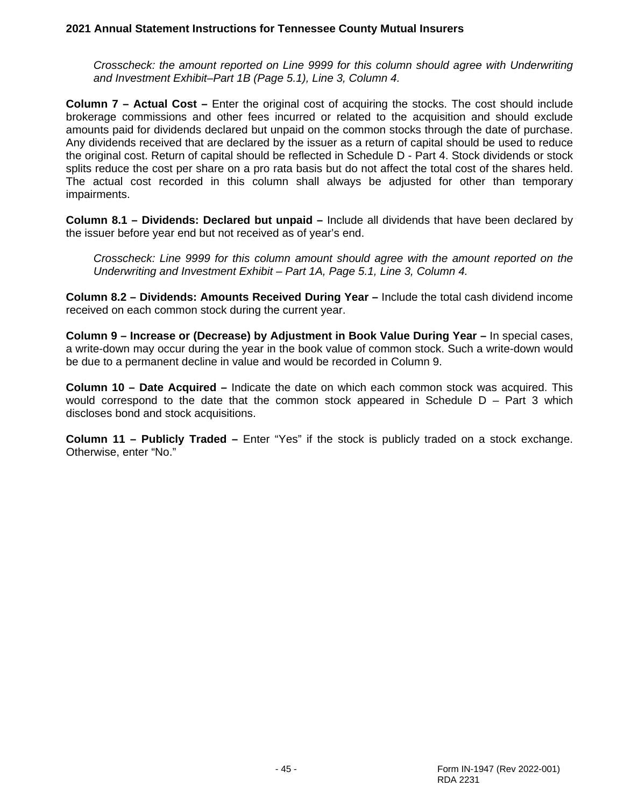*Crosscheck: the amount reported on Line 9999 for this column should agree with Underwriting and Investment Exhibit–Part 1B (Page 5.1), Line 3, Column 4.*

**Column 7 – Actual Cost –** Enter the original cost of acquiring the stocks. The cost should include brokerage commissions and other fees incurred or related to the acquisition and should exclude amounts paid for dividends declared but unpaid on the common stocks through the date of purchase. Any dividends received that are declared by the issuer as a return of capital should be used to reduce the original cost. Return of capital should be reflected in Schedule D - Part 4. Stock dividends or stock splits reduce the cost per share on a pro rata basis but do not affect the total cost of the shares held. The actual cost recorded in this column shall always be adjusted for other than temporary impairments.

**Column 8.1 – Dividends: Declared but unpaid –** Include all dividends that have been declared by the issuer before year end but not received as of year's end.

*Crosscheck: Line 9999 for this column amount should agree with the amount reported on the Underwriting and Investment Exhibit – Part 1A, Page 5.1, Line 3, Column 4.*

**Column 8.2 – Dividends: Amounts Received During Year –** Include the total cash dividend income received on each common stock during the current year.

**Column 9 – Increase or (Decrease) by Adjustment in Book Value During Year –** In special cases, a write-down may occur during the year in the book value of common stock. Such a write-down would be due to a permanent decline in value and would be recorded in Column 9.

**Column 10 – Date Acquired –** Indicate the date on which each common stock was acquired. This would correspond to the date that the common stock appeared in Schedule  $D - Part 3$  which discloses bond and stock acquisitions.

**Column 11 – Publicly Traded –** Enter "Yes" if the stock is publicly traded on a stock exchange. Otherwise, enter "No."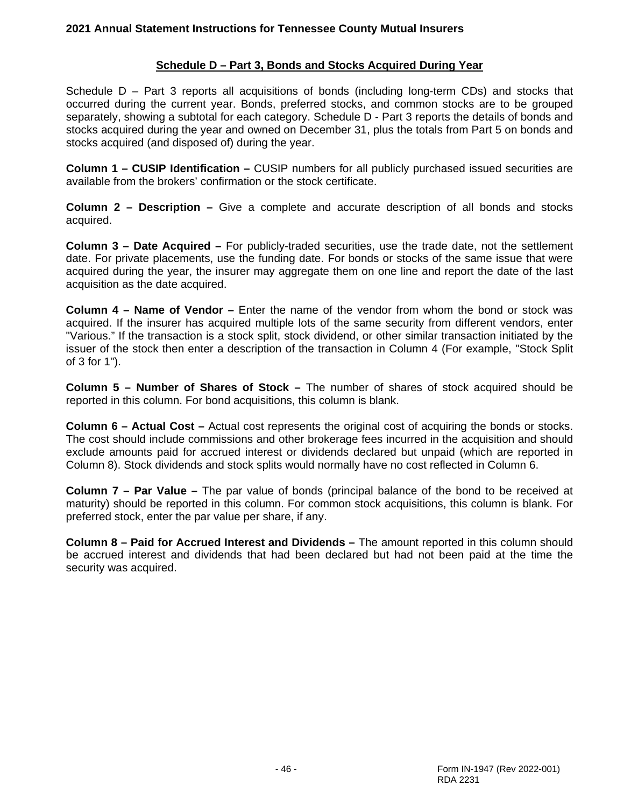### **Schedule D – Part 3, Bonds and Stocks Acquired During Year**

Schedule D – Part 3 reports all acquisitions of bonds (including long-term CDs) and stocks that occurred during the current year. Bonds, preferred stocks, and common stocks are to be grouped separately, showing a subtotal for each category. Schedule D - Part 3 reports the details of bonds and stocks acquired during the year and owned on December 31, plus the totals from Part 5 on bonds and stocks acquired (and disposed of) during the year.

**Column 1 – CUSIP Identification –** CUSIP numbers for all publicly purchased issued securities are available from the brokers' confirmation or the stock certificate.

**Column 2 – Description –** Give a complete and accurate description of all bonds and stocks acquired.

**Column 3 – Date Acquired –** For publicly-traded securities, use the trade date, not the settlement date. For private placements, use the funding date. For bonds or stocks of the same issue that were acquired during the year, the insurer may aggregate them on one line and report the date of the last acquisition as the date acquired.

**Column 4 – Name of Vendor –** Enter the name of the vendor from whom the bond or stock was acquired. If the insurer has acquired multiple lots of the same security from different vendors, enter "Various." If the transaction is a stock split, stock dividend, or other similar transaction initiated by the issuer of the stock then enter a description of the transaction in Column 4 (For example, "Stock Split of 3 for 1").

**Column 5 – Number of Shares of Stock –** The number of shares of stock acquired should be reported in this column. For bond acquisitions, this column is blank.

**Column 6 – Actual Cost –** Actual cost represents the original cost of acquiring the bonds or stocks. The cost should include commissions and other brokerage fees incurred in the acquisition and should exclude amounts paid for accrued interest or dividends declared but unpaid (which are reported in Column 8). Stock dividends and stock splits would normally have no cost reflected in Column 6.

**Column 7 – Par Value –** The par value of bonds (principal balance of the bond to be received at maturity) should be reported in this column. For common stock acquisitions, this column is blank. For preferred stock, enter the par value per share, if any.

**Column 8 – Paid for Accrued Interest and Dividends –** The amount reported in this column should be accrued interest and dividends that had been declared but had not been paid at the time the security was acquired.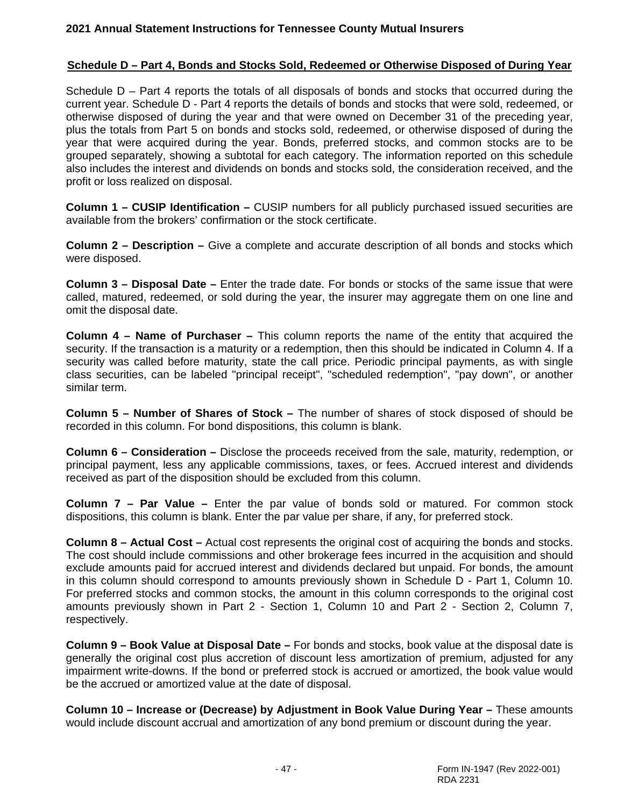#### **Schedule D – Part 4, Bonds and Stocks Sold, Redeemed or Otherwise Disposed of During Year**

Schedule D – Part 4 reports the totals of all disposals of bonds and stocks that occurred during the current year. Schedule D - Part 4 reports the details of bonds and stocks that were sold, redeemed, or otherwise disposed of during the year and that were owned on December 31 of the preceding year, plus the totals from Part 5 on bonds and stocks sold, redeemed, or otherwise disposed of during the year that were acquired during the year. Bonds, preferred stocks, and common stocks are to be grouped separately, showing a subtotal for each category. The information reported on this schedule also includes the interest and dividends on bonds and stocks sold, the consideration received, and the profit or loss realized on disposal.

**Column 1 – CUSIP Identification –** CUSIP numbers for all publicly purchased issued securities are available from the brokers' confirmation or the stock certificate.

**Column 2 – Description –** Give a complete and accurate description of all bonds and stocks which were disposed.

**Column 3 – Disposal Date –** Enter the trade date. For bonds or stocks of the same issue that were called, matured, redeemed, or sold during the year, the insurer may aggregate them on one line and omit the disposal date.

**Column 4 – Name of Purchaser –** This column reports the name of the entity that acquired the security. If the transaction is a maturity or a redemption, then this should be indicated in Column 4. If a security was called before maturity, state the call price. Periodic principal payments, as with single class securities, can be labeled "principal receipt", "scheduled redemption", "pay down", or another similar term.

**Column 5 – Number of Shares of Stock –** The number of shares of stock disposed of should be recorded in this column. For bond dispositions, this column is blank.

**Column 6 – Consideration –** Disclose the proceeds received from the sale, maturity, redemption, or principal payment, less any applicable commissions, taxes, or fees. Accrued interest and dividends received as part of the disposition should be excluded from this column.

**Column 7 – Par Value –** Enter the par value of bonds sold or matured. For common stock dispositions, this column is blank. Enter the par value per share, if any, for preferred stock.

**Column 8 – Actual Cost –** Actual cost represents the original cost of acquiring the bonds and stocks. The cost should include commissions and other brokerage fees incurred in the acquisition and should exclude amounts paid for accrued interest and dividends declared but unpaid. For bonds, the amount in this column should correspond to amounts previously shown in Schedule D - Part 1, Column 10. For preferred stocks and common stocks, the amount in this column corresponds to the original cost amounts previously shown in Part 2 - Section 1, Column 10 and Part 2 - Section 2, Column 7, respectively.

**Column 9 – Book Value at Disposal Date –** For bonds and stocks, book value at the disposal date is generally the original cost plus accretion of discount less amortization of premium, adjusted for any impairment write-downs. If the bond or preferred stock is accrued or amortized, the book value would be the accrued or amortized value at the date of disposal.

**Column 10 – Increase or (Decrease) by Adjustment in Book Value During Year –** These amounts would include discount accrual and amortization of any bond premium or discount during the year.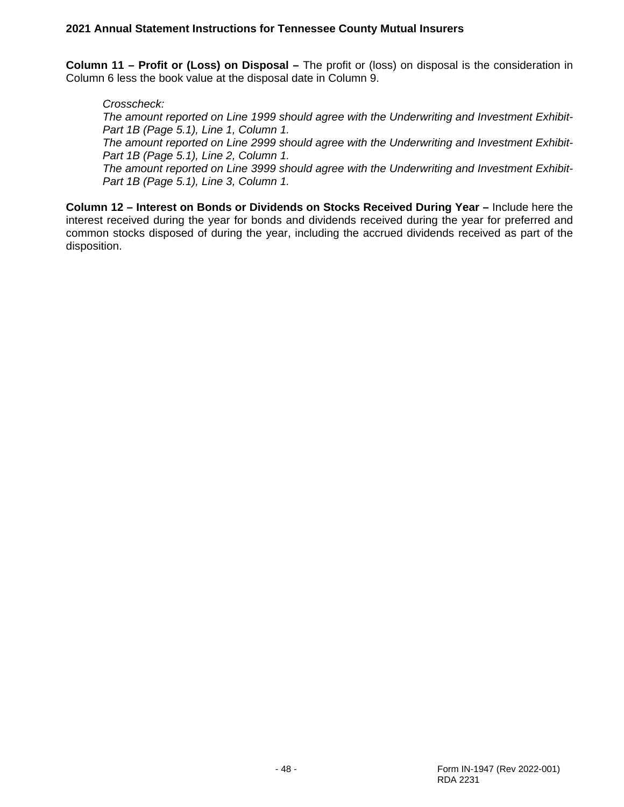**Column 11 – Profit or (Loss) on Disposal –** The profit or (loss) on disposal is the consideration in Column 6 less the book value at the disposal date in Column 9.

*Crosscheck:* 

*The amount reported on Line 1999 should agree with the Underwriting and Investment Exhibit-Part 1B (Page 5.1), Line 1, Column 1.*

*The amount reported on Line 2999 should agree with the Underwriting and Investment Exhibit-Part 1B (Page 5.1), Line 2, Column 1.*

*The amount reported on Line 3999 should agree with the Underwriting and Investment Exhibit-Part 1B (Page 5.1), Line 3, Column 1.*

**Column 12 – Interest on Bonds or Dividends on Stocks Received During Year –** Include here the interest received during the year for bonds and dividends received during the year for preferred and common stocks disposed of during the year, including the accrued dividends received as part of the disposition.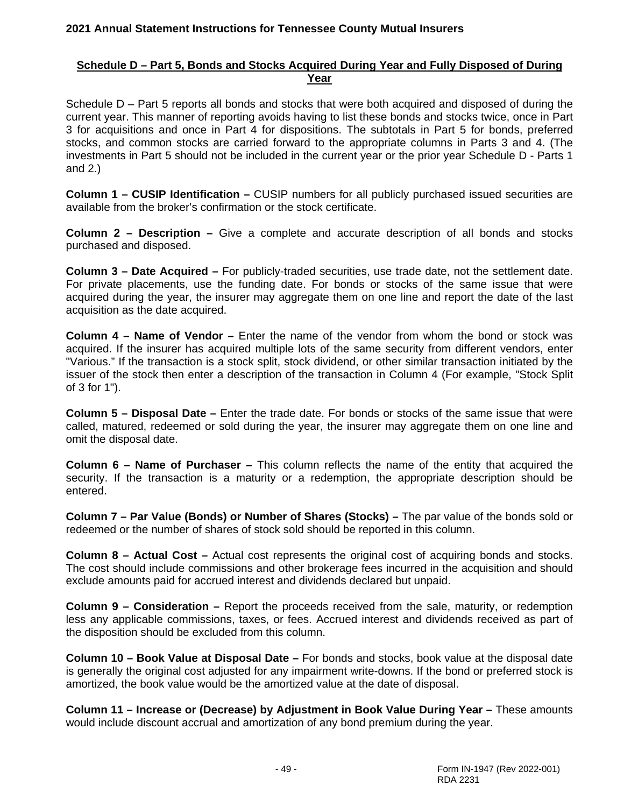# **Schedule D – Part 5, Bonds and Stocks Acquired During Year and Fully Disposed of During Year**

Schedule D – Part 5 reports all bonds and stocks that were both acquired and disposed of during the current year. This manner of reporting avoids having to list these bonds and stocks twice, once in Part 3 for acquisitions and once in Part 4 for dispositions. The subtotals in Part 5 for bonds, preferred stocks, and common stocks are carried forward to the appropriate columns in Parts 3 and 4. (The investments in Part 5 should not be included in the current year or the prior year Schedule D - Parts 1 and 2.)

**Column 1 – CUSIP Identification –** CUSIP numbers for all publicly purchased issued securities are available from the broker's confirmation or the stock certificate.

**Column 2 – Description –** Give a complete and accurate description of all bonds and stocks purchased and disposed.

**Column 3 – Date Acquired –** For publicly-traded securities, use trade date, not the settlement date. For private placements, use the funding date. For bonds or stocks of the same issue that were acquired during the year, the insurer may aggregate them on one line and report the date of the last acquisition as the date acquired.

**Column 4 – Name of Vendor –** Enter the name of the vendor from whom the bond or stock was acquired. If the insurer has acquired multiple lots of the same security from different vendors, enter "Various." If the transaction is a stock split, stock dividend, or other similar transaction initiated by the issuer of the stock then enter a description of the transaction in Column 4 (For example, "Stock Split of 3 for 1").

**Column 5 – Disposal Date –** Enter the trade date. For bonds or stocks of the same issue that were called, matured, redeemed or sold during the year, the insurer may aggregate them on one line and omit the disposal date.

**Column 6 – Name of Purchaser –** This column reflects the name of the entity that acquired the security. If the transaction is a maturity or a redemption, the appropriate description should be entered.

**Column 7 – Par Value (Bonds) or Number of Shares (Stocks) –** The par value of the bonds sold or redeemed or the number of shares of stock sold should be reported in this column.

**Column 8 – Actual Cost –** Actual cost represents the original cost of acquiring bonds and stocks. The cost should include commissions and other brokerage fees incurred in the acquisition and should exclude amounts paid for accrued interest and dividends declared but unpaid.

**Column 9 – Consideration –** Report the proceeds received from the sale, maturity, or redemption less any applicable commissions, taxes, or fees. Accrued interest and dividends received as part of the disposition should be excluded from this column.

**Column 10 – Book Value at Disposal Date –** For bonds and stocks, book value at the disposal date is generally the original cost adjusted for any impairment write-downs. If the bond or preferred stock is amortized, the book value would be the amortized value at the date of disposal.

**Column 11 – Increase or (Decrease) by Adjustment in Book Value During Year –** These amounts would include discount accrual and amortization of any bond premium during the year.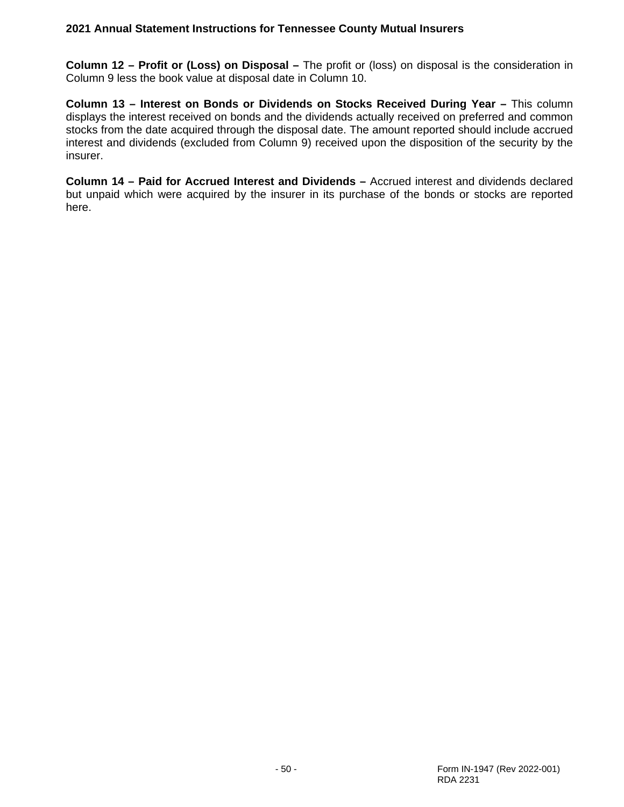**Column 12 – Profit or (Loss) on Disposal –** The profit or (loss) on disposal is the consideration in Column 9 less the book value at disposal date in Column 10.

**Column 13 – Interest on Bonds or Dividends on Stocks Received During Year –** This column displays the interest received on bonds and the dividends actually received on preferred and common stocks from the date acquired through the disposal date. The amount reported should include accrued interest and dividends (excluded from Column 9) received upon the disposition of the security by the insurer.

**Column 14 – Paid for Accrued Interest and Dividends –** Accrued interest and dividends declared but unpaid which were acquired by the insurer in its purchase of the bonds or stocks are reported here.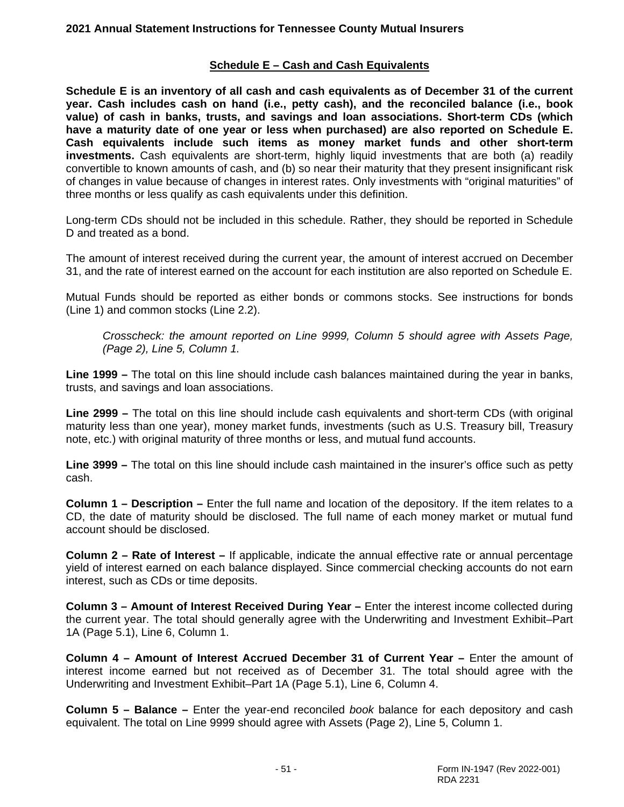# **Schedule E – Cash and Cash Equivalents**

**Schedule E is an inventory of all cash and cash equivalents as of December 31 of the current year. Cash includes cash on hand (i.e., petty cash), and the reconciled balance (i.e., book value) of cash in banks, trusts, and savings and loan associations. Short-term CDs (which have a maturity date of one year or less when purchased) are also reported on Schedule E. Cash equivalents include such items as money market funds and other short-term investments.** Cash equivalents are short-term, highly liquid investments that are both (a) readily convertible to known amounts of cash, and (b) so near their maturity that they present insignificant risk of changes in value because of changes in interest rates. Only investments with "original maturities" of three months or less qualify as cash equivalents under this definition.

Long-term CDs should not be included in this schedule. Rather, they should be reported in Schedule D and treated as a bond.

The amount of interest received during the current year, the amount of interest accrued on December 31, and the rate of interest earned on the account for each institution are also reported on Schedule E.

Mutual Funds should be reported as either bonds or commons stocks. See instructions for bonds (Line 1) and common stocks (Line 2.2).

*Crosscheck: the amount reported on Line 9999, Column 5 should agree with Assets Page, (Page 2), Line 5, Column 1.*

**Line 1999 –** The total on this line should include cash balances maintained during the year in banks, trusts, and savings and loan associations.

**Line 2999 –** The total on this line should include cash equivalents and short-term CDs (with original maturity less than one year), money market funds, investments (such as U.S. Treasury bill, Treasury note, etc.) with original maturity of three months or less, and mutual fund accounts.

**Line 3999 –** The total on this line should include cash maintained in the insurer's office such as petty cash.

**Column 1 – Description –** Enter the full name and location of the depository. If the item relates to a CD, the date of maturity should be disclosed. The full name of each money market or mutual fund account should be disclosed.

**Column 2 – Rate of Interest –** If applicable, indicate the annual effective rate or annual percentage yield of interest earned on each balance displayed. Since commercial checking accounts do not earn interest, such as CDs or time deposits.

**Column 3 – Amount of Interest Received During Year –** Enter the interest income collected during the current year. The total should generally agree with the Underwriting and Investment Exhibit–Part 1A (Page 5.1), Line 6, Column 1.

**Column 4 – Amount of Interest Accrued December 31 of Current Year –** Enter the amount of interest income earned but not received as of December 31. The total should agree with the Underwriting and Investment Exhibit–Part 1A (Page 5.1), Line 6, Column 4.

**Column 5 – Balance –** Enter the year-end reconciled *book* balance for each depository and cash equivalent. The total on Line 9999 should agree with Assets (Page 2), Line 5, Column 1.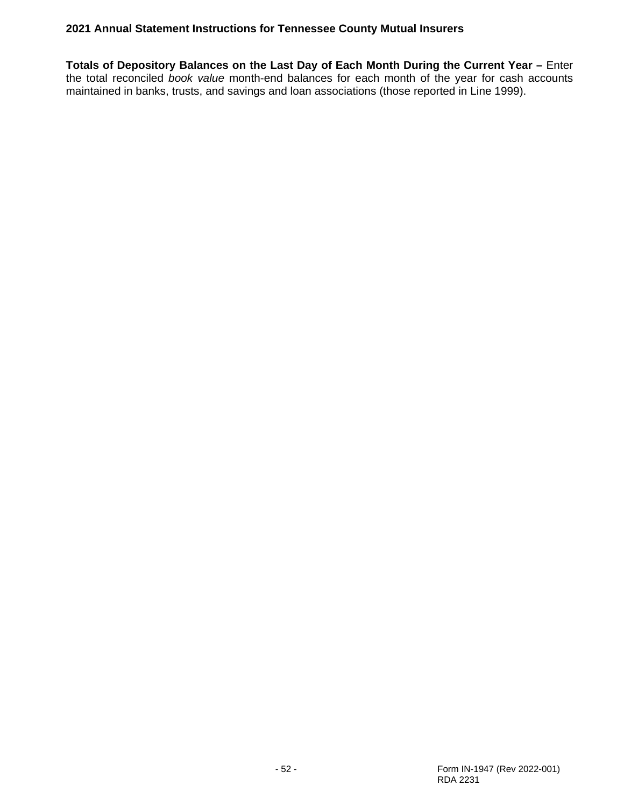**Totals of Depository Balances on the Last Day of Each Month During the Current Year –** Enter the total reconciled *book value* month-end balances for each month of the year for cash accounts maintained in banks, trusts, and savings and loan associations (those reported in Line 1999).